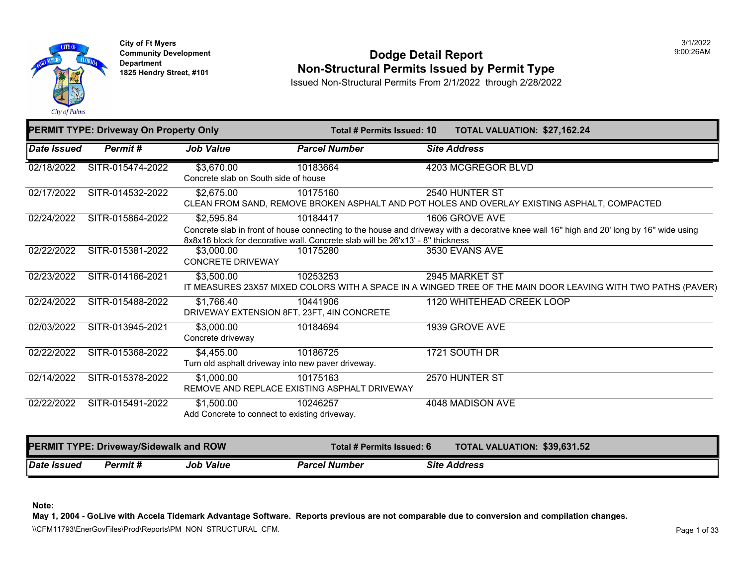

**City of Ft Myers Community Development Department 1825 Hendry Street, #101** 

#### **Dodge Detail Report Non-Structural Permits Issued by Permit Type**

3/1/2022 9:00:26AM

Issued Non-Structural Permits From 2/1/2022 through 2/28/2022

|             | PERMIT TYPE: Driveway On Property Only |                                                                  | Total # Permits Issued: 10                                                                 | TOTAL VALUATION: \$27,162.24                                                                                                                               |
|-------------|----------------------------------------|------------------------------------------------------------------|--------------------------------------------------------------------------------------------|------------------------------------------------------------------------------------------------------------------------------------------------------------|
| Date Issued | Permit#                                | <b>Job Value</b>                                                 | <b>Parcel Number</b>                                                                       | <b>Site Address</b>                                                                                                                                        |
| 02/18/2022  | SITR-015474-2022                       | \$3,670.00<br>Concrete slab on South side of house               | 10183664                                                                                   | 4203 MCGREGOR BLVD                                                                                                                                         |
| 02/17/2022  | SITR-014532-2022                       | \$2,675.00                                                       | 10175160                                                                                   | 2540 HUNTER ST<br>CLEAN FROM SAND, REMOVE BROKEN ASPHALT AND POT HOLES AND OVERLAY EXISTING ASPHALT, COMPACTED                                             |
| 02/24/2022  | SITR-015864-2022                       | \$2,595.84                                                       | 10184417<br>8x8x16 block for decorative wall. Concrete slab will be 26'x13' - 8" thickness | 1606 GROVE AVE<br>Concrete slab in front of house connecting to the house and driveway with a decorative knee wall 16" high and 20' long by 16" wide using |
| 02/22/2022  | SITR-015381-2022                       | \$3,000.00<br><b>CONCRETE DRIVEWAY</b>                           | 10175280                                                                                   | 3530 EVANS AVE                                                                                                                                             |
| 02/23/2022  | SITR-014166-2021                       | \$3,500.00                                                       | 10253253                                                                                   | 2945 MARKET ST<br>IT MEASURES 23X57 MIXED COLORS WITH A SPACE IN A WINGED TREE OF THE MAIN DOOR LEAVING WITH TWO PATHS (PAVER)                             |
| 02/24/2022  | SITR-015488-2022                       | \$1,766.40<br>DRIVEWAY EXTENSION 8FT, 23FT, 4IN CONCRETE         | 10441906                                                                                   | 1120 WHITEHEAD CREEK LOOP                                                                                                                                  |
| 02/03/2022  | SITR-013945-2021                       | \$3,000.00<br>Concrete driveway                                  | 10184694                                                                                   | 1939 GROVE AVE                                                                                                                                             |
| 02/22/2022  | SITR-015368-2022                       | \$4,455.00<br>Turn old asphalt driveway into new paver driveway. | 10186725                                                                                   | 1721 SOUTH DR                                                                                                                                              |
| 02/14/2022  | SITR-015378-2022                       | \$1,000.00                                                       | 10175163<br>REMOVE AND REPLACE EXISTING ASPHALT DRIVEWAY                                   | 2570 HUNTER ST                                                                                                                                             |
| 02/22/2022  | SITR-015491-2022                       | \$1,500.00<br>Add Concrete to connect to existing driveway.      | 10246257                                                                                   | 4048 MADISON AVE                                                                                                                                           |
|             | PERMIT TYPE: Driveway/Sidewalk and ROW |                                                                  | Total # Permits Issued: 6                                                                  | TOTAL VALUATION: \$39,631.52                                                                                                                               |
| Date Issued | Permit#                                | <b>Job Value</b>                                                 | <b>Parcel Number</b>                                                                       | <b>Site Address</b>                                                                                                                                        |

**Note:** 

**May 1, 2004 - GoLive with Accela Tidemark Advantage Software. Reports previous are not comparable due to conversion and compilation changes.** 

\\CFM11793\EnerGovFiles\Prod\Reports\PM\_NON\_STRUCTURAL\_CFM.<br>Page 1 of 33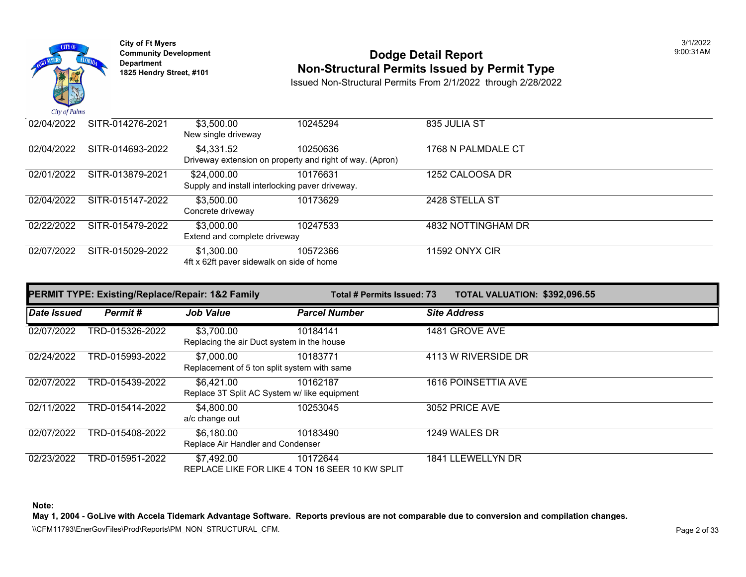

### **Community Development 1825 Community Development 1825 Hendry Street, #101 1825 Hendry Street, #101 1825 Hendry Street, #101 1825 Hendry Street, #101 1825 Hendry Street, #101 <b>Non-Structural Permits Issued by Permit Type**

Issued Non-Structural Permits From 2/1/2022 through 2/28/2022

| $\mathcal{L}u \mathcal{L}v$ is a set of $\mathcal{L}u$ |                  |                                                                |                                                                      |                       |  |
|--------------------------------------------------------|------------------|----------------------------------------------------------------|----------------------------------------------------------------------|-----------------------|--|
| 02/04/2022                                             | SITR-014276-2021 | \$3,500.00<br>New single driveway                              | 10245294                                                             | 835 JULIA ST          |  |
| 02/04/2022                                             | SITR-014693-2022 | \$4,331.52                                                     | 10250636<br>Driveway extension on property and right of way. (Apron) | 1768 N PALMDALE CT    |  |
| 02/01/2022                                             | SITR-013879-2021 | \$24,000.00<br>Supply and install interlocking paver driveway. | 10176631                                                             | 1252 CALOOSA DR       |  |
| 02/04/2022                                             | SITR-015147-2022 | \$3,500.00<br>Concrete driveway                                | 10173629                                                             | 2428 STELLA ST        |  |
| 02/22/2022                                             | SITR-015479-2022 | \$3,000.00<br>Extend and complete driveway                     | 10247533                                                             | 4832 NOTTINGHAM DR    |  |
| 02/07/2022                                             | SITR-015029-2022 | \$1,300.00<br>4ft x 62ft paver sidewalk on side of home        | 10572366                                                             | <b>11592 ONYX CIR</b> |  |

|             | <b>PERMIT TYPE: Existing/Replace/Repair: 1&amp;2 Family</b> |                                                            | Total # Permits Issued: 73                                  |                            | TOTAL VALUATION: \$392,096.55 |
|-------------|-------------------------------------------------------------|------------------------------------------------------------|-------------------------------------------------------------|----------------------------|-------------------------------|
| Date Issued | Permit#                                                     | <b>Job Value</b>                                           | <b>Parcel Number</b>                                        | <b>Site Address</b>        |                               |
| 02/07/2022  | TRD-015326-2022                                             | \$3,700.00<br>Replacing the air Duct system in the house   | 10184141                                                    | 1481 GROVE AVE             |                               |
| 02/24/2022  | TRD-015993-2022                                             | \$7,000.00<br>Replacement of 5 ton split system with same  | 10183771                                                    | 4113 W RIVERSIDE DR        |                               |
| 02/07/2022  | TRD-015439-2022                                             | \$6,421.00<br>Replace 3T Split AC System w/ like equipment | 10162187                                                    | <b>1616 POINSETTIA AVE</b> |                               |
| 02/11/2022  | TRD-015414-2022                                             | \$4,800.00<br>a/c change out                               | 10253045                                                    | 3052 PRICE AVE             |                               |
| 02/07/2022  | TRD-015408-2022                                             | \$6,180.00<br>Replace Air Handler and Condenser            | 10183490                                                    | 1249 WALES DR              |                               |
| 02/23/2022  | TRD-015951-2022                                             | \$7,492.00                                                 | 10172644<br>REPLACE LIKE FOR LIKE 4 TON 16 SEER 10 KW SPLIT | 1841 LLEWELLYN DR          |                               |

**Note:** 

**May 1, 2004 - GoLive with Accela Tidemark Advantage Software. Reports previous are not comparable due to conversion and compilation changes.** 

\\CFM11793\EnerGovFiles\Prod\Reports\PM\_NON\_STRUCTURAL\_CFM.<br>Page 2 of 33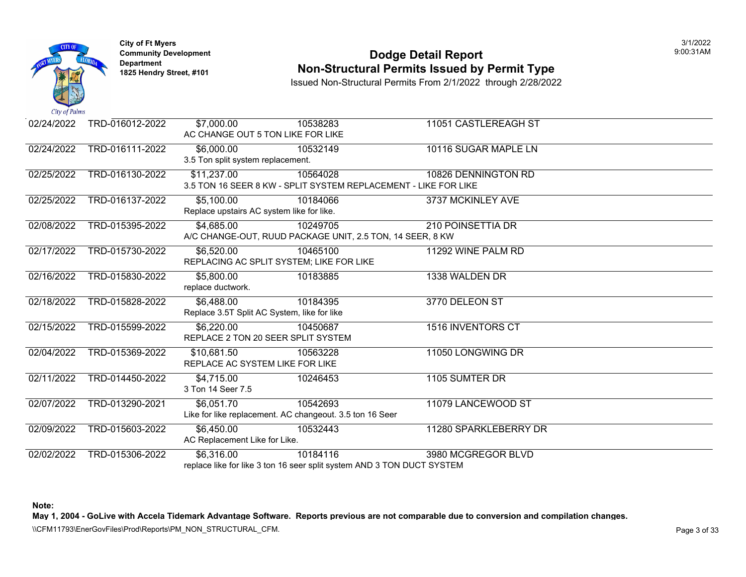

### **Community Development Community Development Community Development 1825 Non-Structural Permits Issued by Permit Type**

Issued Non-Structural Permits From 2/1/2022 through 2/28/2022

| Car of Tunno |                 |                                   |                                                                        |                          |
|--------------|-----------------|-----------------------------------|------------------------------------------------------------------------|--------------------------|
| 02/24/2022   | TRD-016012-2022 | \$7,000.00                        | 10538283                                                               | 11051 CASTLEREAGH ST     |
|              |                 |                                   | AC CHANGE OUT 5 TON LIKE FOR LIKE                                      |                          |
| 02/24/2022   | TRD-016111-2022 | \$6,000.00                        | 10532149                                                               | 10116 SUGAR MAPLE LN     |
|              |                 | 3.5 Ton split system replacement. |                                                                        |                          |
| 02/25/2022   | TRD-016130-2022 | \$11,237.00                       | 10564028                                                               | 10826 DENNINGTON RD      |
|              |                 |                                   | 3.5 TON 16 SEER 8 KW - SPLIT SYSTEM REPLACEMENT - LIKE FOR LIKE        |                          |
| 02/25/2022   | TRD-016137-2022 | \$5,100.00                        | 10184066                                                               | 3737 MCKINLEY AVE        |
|              |                 |                                   | Replace upstairs AC system like for like.                              |                          |
| 02/08/2022   | TRD-015395-2022 | \$4,685.00                        | 10249705                                                               | <b>210 POINSETTIA DR</b> |
|              |                 |                                   | A/C CHANGE-OUT, RUUD PACKAGE UNIT, 2.5 TON, 14 SEER, 8 KW              |                          |
| 02/17/2022   | TRD-015730-2022 | \$6,520.00                        | 10465100                                                               | 11292 WINE PALM RD       |
|              |                 |                                   | REPLACING AC SPLIT SYSTEM; LIKE FOR LIKE                               |                          |
| 02/16/2022   | TRD-015830-2022 | \$5,800.00                        | 10183885                                                               | 1338 WALDEN DR           |
|              |                 | replace ductwork.                 |                                                                        |                          |
| 02/18/2022   | TRD-015828-2022 | \$6,488.00                        | 10184395                                                               | 3770 DELEON ST           |
|              |                 |                                   | Replace 3.5T Split AC System, like for like                            |                          |
| 02/15/2022   | TRD-015599-2022 | \$6,220.00                        | 10450687                                                               | <b>1516 INVENTORS CT</b> |
|              |                 |                                   | REPLACE 2 TON 20 SEER SPLIT SYSTEM                                     |                          |
| 02/04/2022   | TRD-015369-2022 | \$10,681.50                       | 10563228                                                               | 11050 LONGWING DR        |
|              |                 |                                   | REPLACE AC SYSTEM LIKE FOR LIKE                                        |                          |
| 02/11/2022   | TRD-014450-2022 | \$4,715.00                        | 10246453                                                               | 1105 SUMTER DR           |
|              |                 | 3 Ton 14 Seer 7.5                 |                                                                        |                          |
| 02/07/2022   | TRD-013290-2021 | \$6,051.70                        | 10542693                                                               | 11079 LANCEWOOD ST       |
|              |                 |                                   | Like for like replacement. AC changeout. 3.5 ton 16 Seer               |                          |
| 02/09/2022   | TRD-015603-2022 | \$6,450.00                        | 10532443                                                               | 11280 SPARKLEBERRY DR    |
|              |                 | AC Replacement Like for Like.     |                                                                        |                          |
| 02/02/2022   | TRD-015306-2022 | \$6,316.00                        | 10184116                                                               | 3980 MCGREGOR BLVD       |
|              |                 |                                   | replace like for like 3 ton 16 seer split system AND 3 TON DUCT SYSTEM |                          |

**Note:**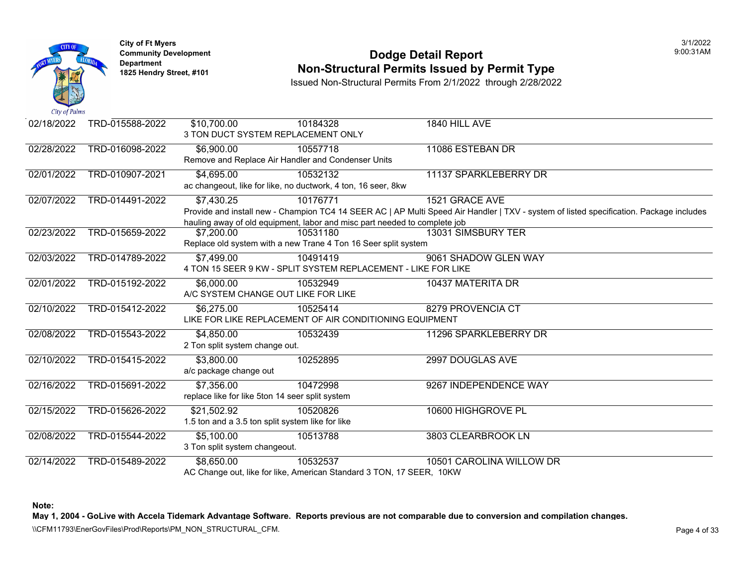

### **Community Development Community Development Community Development 1825 Non-Structural Permits Issued by Permit Type**

Issued Non-Structural Permits From 2/1/2022 through 2/28/2022

| TRD-015588-2022<br>\$10,700.00<br>10184328<br>1840 HILL AVE<br>02/18/2022<br>3 TON DUCT SYSTEM REPLACEMENT ONLY<br>02/28/2022<br>TRD-016098-2022<br>\$6,900.00<br>10557718<br>11086 ESTEBAN DR<br>Remove and Replace Air Handler and Condenser Units<br>02/01/2022<br>TRD-010907-2021<br>\$4,695.00<br>10532132<br>11137 SPARKLEBERRY DR<br>ac changeout, like for like, no ductwork, 4 ton, 16 seer, 8kw<br>02/07/2022<br>TRD-014491-2022<br>\$7,430.25<br>10176771<br>1521 GRACE AVE<br>Provide and install new - Champion TC4 14 SEER AC   AP Multi Speed Air Handler   TXV - system of list<br>hauling away of old equipment, labor and misc part needed to complete job<br>02/23/2022<br>TRD-015659-2022<br>10531180<br>13031 SIMSBURY TER<br>\$7,200.00<br>Replace old system with a new Trane 4 Ton 16 Seer split system<br>02/03/2022<br>TRD-014789-2022<br>9061 SHADOW GLEN WAY<br>\$7,499.00<br>10491419<br>4 TON 15 SEER 9 KW - SPLIT SYSTEM REPLACEMENT - LIKE FOR LIKE<br>02/01/2022<br>TRD-015192-2022<br>\$6,000.00<br>10532949<br>10437 MATERITA DR<br>A/C SYSTEM CHANGE OUT LIKE FOR LIKE<br>02/10/2022<br>TRD-015412-2022<br>\$6,275.00<br>8279 PROVENCIA CT<br>10525414<br>LIKE FOR LIKE REPLACEMENT OF AIR CONDITIONING EQUIPMENT<br>02/08/2022<br>TRD-015543-2022<br>\$4,850.00<br>10532439<br>11296 SPARKLEBERRY DR<br>2 Ton split system change out.<br>02/10/2022<br>TRD-015415-2022<br>\$3,800.00<br>10252895<br>2997 DOUGLAS AVE<br>a/c package change out<br>02/16/2022<br>TRD-015691-2022<br>\$7,356.00<br>10472998<br>9267 INDEPENDENCE WAY<br>replace like for like 5ton 14 seer split system<br>02/15/2022<br>TRD-015626-2022<br>\$21,502.92<br>10600 HIGHGROVE PL<br>10520826<br>1.5 ton and a 3.5 ton split system like for like<br>02/08/2022<br>\$5,100.00<br>TRD-015544-2022<br>10513788<br>3803 CLEARBROOK LN<br>3 Ton split system changeout.<br>02/14/2022<br>TRD-015489-2022<br>\$8,650.00<br>10532537<br>10501 CAROLINA WILLOW DR<br>AC Change out, like for like, American Standard 3 TON, 17 SEER, 10KW |  |  |  |
|----------------------------------------------------------------------------------------------------------------------------------------------------------------------------------------------------------------------------------------------------------------------------------------------------------------------------------------------------------------------------------------------------------------------------------------------------------------------------------------------------------------------------------------------------------------------------------------------------------------------------------------------------------------------------------------------------------------------------------------------------------------------------------------------------------------------------------------------------------------------------------------------------------------------------------------------------------------------------------------------------------------------------------------------------------------------------------------------------------------------------------------------------------------------------------------------------------------------------------------------------------------------------------------------------------------------------------------------------------------------------------------------------------------------------------------------------------------------------------------------------------------------------------------------------------------------------------------------------------------------------------------------------------------------------------------------------------------------------------------------------------------------------------------------------------------------------------------------------------------------------------------------------------------------------------------------------------------------------------------------------------------------------------------------------|--|--|--|
|                                                                                                                                                                                                                                                                                                                                                                                                                                                                                                                                                                                                                                                                                                                                                                                                                                                                                                                                                                                                                                                                                                                                                                                                                                                                                                                                                                                                                                                                                                                                                                                                                                                                                                                                                                                                                                                                                                                                                                                                                                                    |  |  |  |
|                                                                                                                                                                                                                                                                                                                                                                                                                                                                                                                                                                                                                                                                                                                                                                                                                                                                                                                                                                                                                                                                                                                                                                                                                                                                                                                                                                                                                                                                                                                                                                                                                                                                                                                                                                                                                                                                                                                                                                                                                                                    |  |  |  |
|                                                                                                                                                                                                                                                                                                                                                                                                                                                                                                                                                                                                                                                                                                                                                                                                                                                                                                                                                                                                                                                                                                                                                                                                                                                                                                                                                                                                                                                                                                                                                                                                                                                                                                                                                                                                                                                                                                                                                                                                                                                    |  |  |  |
|                                                                                                                                                                                                                                                                                                                                                                                                                                                                                                                                                                                                                                                                                                                                                                                                                                                                                                                                                                                                                                                                                                                                                                                                                                                                                                                                                                                                                                                                                                                                                                                                                                                                                                                                                                                                                                                                                                                                                                                                                                                    |  |  |  |
|                                                                                                                                                                                                                                                                                                                                                                                                                                                                                                                                                                                                                                                                                                                                                                                                                                                                                                                                                                                                                                                                                                                                                                                                                                                                                                                                                                                                                                                                                                                                                                                                                                                                                                                                                                                                                                                                                                                                                                                                                                                    |  |  |  |
|                                                                                                                                                                                                                                                                                                                                                                                                                                                                                                                                                                                                                                                                                                                                                                                                                                                                                                                                                                                                                                                                                                                                                                                                                                                                                                                                                                                                                                                                                                                                                                                                                                                                                                                                                                                                                                                                                                                                                                                                                                                    |  |  |  |
|                                                                                                                                                                                                                                                                                                                                                                                                                                                                                                                                                                                                                                                                                                                                                                                                                                                                                                                                                                                                                                                                                                                                                                                                                                                                                                                                                                                                                                                                                                                                                                                                                                                                                                                                                                                                                                                                                                                                                                                                                                                    |  |  |  |
|                                                                                                                                                                                                                                                                                                                                                                                                                                                                                                                                                                                                                                                                                                                                                                                                                                                                                                                                                                                                                                                                                                                                                                                                                                                                                                                                                                                                                                                                                                                                                                                                                                                                                                                                                                                                                                                                                                                                                                                                                                                    |  |  |  |
|                                                                                                                                                                                                                                                                                                                                                                                                                                                                                                                                                                                                                                                                                                                                                                                                                                                                                                                                                                                                                                                                                                                                                                                                                                                                                                                                                                                                                                                                                                                                                                                                                                                                                                                                                                                                                                                                                                                                                                                                                                                    |  |  |  |
|                                                                                                                                                                                                                                                                                                                                                                                                                                                                                                                                                                                                                                                                                                                                                                                                                                                                                                                                                                                                                                                                                                                                                                                                                                                                                                                                                                                                                                                                                                                                                                                                                                                                                                                                                                                                                                                                                                                                                                                                                                                    |  |  |  |
|                                                                                                                                                                                                                                                                                                                                                                                                                                                                                                                                                                                                                                                                                                                                                                                                                                                                                                                                                                                                                                                                                                                                                                                                                                                                                                                                                                                                                                                                                                                                                                                                                                                                                                                                                                                                                                                                                                                                                                                                                                                    |  |  |  |
|                                                                                                                                                                                                                                                                                                                                                                                                                                                                                                                                                                                                                                                                                                                                                                                                                                                                                                                                                                                                                                                                                                                                                                                                                                                                                                                                                                                                                                                                                                                                                                                                                                                                                                                                                                                                                                                                                                                                                                                                                                                    |  |  |  |
|                                                                                                                                                                                                                                                                                                                                                                                                                                                                                                                                                                                                                                                                                                                                                                                                                                                                                                                                                                                                                                                                                                                                                                                                                                                                                                                                                                                                                                                                                                                                                                                                                                                                                                                                                                                                                                                                                                                                                                                                                                                    |  |  |  |
|                                                                                                                                                                                                                                                                                                                                                                                                                                                                                                                                                                                                                                                                                                                                                                                                                                                                                                                                                                                                                                                                                                                                                                                                                                                                                                                                                                                                                                                                                                                                                                                                                                                                                                                                                                                                                                                                                                                                                                                                                                                    |  |  |  |
|                                                                                                                                                                                                                                                                                                                                                                                                                                                                                                                                                                                                                                                                                                                                                                                                                                                                                                                                                                                                                                                                                                                                                                                                                                                                                                                                                                                                                                                                                                                                                                                                                                                                                                                                                                                                                                                                                                                                                                                                                                                    |  |  |  |
|                                                                                                                                                                                                                                                                                                                                                                                                                                                                                                                                                                                                                                                                                                                                                                                                                                                                                                                                                                                                                                                                                                                                                                                                                                                                                                                                                                                                                                                                                                                                                                                                                                                                                                                                                                                                                                                                                                                                                                                                                                                    |  |  |  |
|                                                                                                                                                                                                                                                                                                                                                                                                                                                                                                                                                                                                                                                                                                                                                                                                                                                                                                                                                                                                                                                                                                                                                                                                                                                                                                                                                                                                                                                                                                                                                                                                                                                                                                                                                                                                                                                                                                                                                                                                                                                    |  |  |  |
|                                                                                                                                                                                                                                                                                                                                                                                                                                                                                                                                                                                                                                                                                                                                                                                                                                                                                                                                                                                                                                                                                                                                                                                                                                                                                                                                                                                                                                                                                                                                                                                                                                                                                                                                                                                                                                                                                                                                                                                                                                                    |  |  |  |
|                                                                                                                                                                                                                                                                                                                                                                                                                                                                                                                                                                                                                                                                                                                                                                                                                                                                                                                                                                                                                                                                                                                                                                                                                                                                                                                                                                                                                                                                                                                                                                                                                                                                                                                                                                                                                                                                                                                                                                                                                                                    |  |  |  |
|                                                                                                                                                                                                                                                                                                                                                                                                                                                                                                                                                                                                                                                                                                                                                                                                                                                                                                                                                                                                                                                                                                                                                                                                                                                                                                                                                                                                                                                                                                                                                                                                                                                                                                                                                                                                                                                                                                                                                                                                                                                    |  |  |  |
|                                                                                                                                                                                                                                                                                                                                                                                                                                                                                                                                                                                                                                                                                                                                                                                                                                                                                                                                                                                                                                                                                                                                                                                                                                                                                                                                                                                                                                                                                                                                                                                                                                                                                                                                                                                                                                                                                                                                                                                                                                                    |  |  |  |
|                                                                                                                                                                                                                                                                                                                                                                                                                                                                                                                                                                                                                                                                                                                                                                                                                                                                                                                                                                                                                                                                                                                                                                                                                                                                                                                                                                                                                                                                                                                                                                                                                                                                                                                                                                                                                                                                                                                                                                                                                                                    |  |  |  |
|                                                                                                                                                                                                                                                                                                                                                                                                                                                                                                                                                                                                                                                                                                                                                                                                                                                                                                                                                                                                                                                                                                                                                                                                                                                                                                                                                                                                                                                                                                                                                                                                                                                                                                                                                                                                                                                                                                                                                                                                                                                    |  |  |  |
|                                                                                                                                                                                                                                                                                                                                                                                                                                                                                                                                                                                                                                                                                                                                                                                                                                                                                                                                                                                                                                                                                                                                                                                                                                                                                                                                                                                                                                                                                                                                                                                                                                                                                                                                                                                                                                                                                                                                                                                                                                                    |  |  |  |
|                                                                                                                                                                                                                                                                                                                                                                                                                                                                                                                                                                                                                                                                                                                                                                                                                                                                                                                                                                                                                                                                                                                                                                                                                                                                                                                                                                                                                                                                                                                                                                                                                                                                                                                                                                                                                                                                                                                                                                                                                                                    |  |  |  |
|                                                                                                                                                                                                                                                                                                                                                                                                                                                                                                                                                                                                                                                                                                                                                                                                                                                                                                                                                                                                                                                                                                                                                                                                                                                                                                                                                                                                                                                                                                                                                                                                                                                                                                                                                                                                                                                                                                                                                                                                                                                    |  |  |  |
|                                                                                                                                                                                                                                                                                                                                                                                                                                                                                                                                                                                                                                                                                                                                                                                                                                                                                                                                                                                                                                                                                                                                                                                                                                                                                                                                                                                                                                                                                                                                                                                                                                                                                                                                                                                                                                                                                                                                                                                                                                                    |  |  |  |
|                                                                                                                                                                                                                                                                                                                                                                                                                                                                                                                                                                                                                                                                                                                                                                                                                                                                                                                                                                                                                                                                                                                                                                                                                                                                                                                                                                                                                                                                                                                                                                                                                                                                                                                                                                                                                                                                                                                                                                                                                                                    |  |  |  |
|                                                                                                                                                                                                                                                                                                                                                                                                                                                                                                                                                                                                                                                                                                                                                                                                                                                                                                                                                                                                                                                                                                                                                                                                                                                                                                                                                                                                                                                                                                                                                                                                                                                                                                                                                                                                                                                                                                                                                                                                                                                    |  |  |  |

**Note:**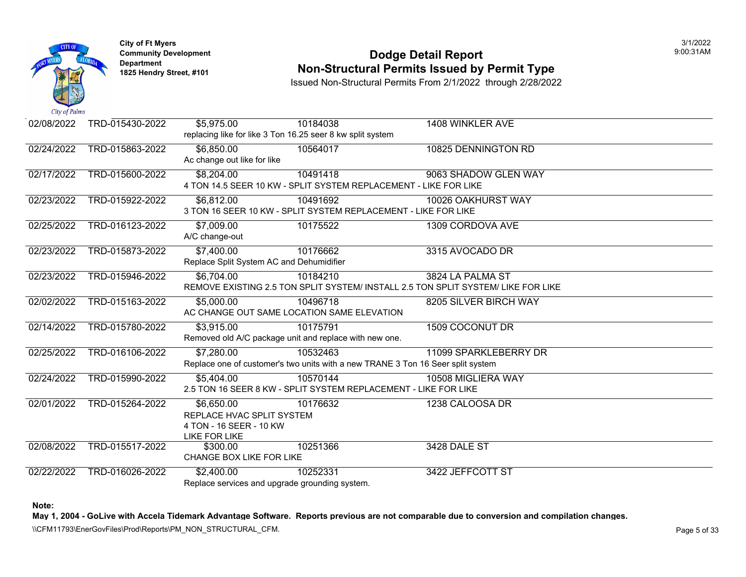

#### **Community Development Community Development Community Development Non-Structural Permits Issued by Permit Type**

Issued Non-Structural Permits From 2/1/2022 through 2/28/2022

| 02/08/2022 | TRD-015430-2022 | \$5,975.00                  | 10184038                                                                        | 1408 WINKLER AVE                                                                  |
|------------|-----------------|-----------------------------|---------------------------------------------------------------------------------|-----------------------------------------------------------------------------------|
|            |                 |                             | replacing like for like 3 Ton 16.25 seer 8 kw split system                      |                                                                                   |
| 02/24/2022 | TRD-015863-2022 | \$6,850.00                  | 10564017                                                                        | 10825 DENNINGTON RD                                                               |
|            |                 | Ac change out like for like |                                                                                 |                                                                                   |
| 02/17/2022 | TRD-015600-2022 | \$8,204.00                  | 10491418                                                                        | 9063 SHADOW GLEN WAY                                                              |
|            |                 |                             | 4 TON 14.5 SEER 10 KW - SPLIT SYSTEM REPLACEMENT - LIKE FOR LIKE                |                                                                                   |
| 02/23/2022 | TRD-015922-2022 | \$6.812.00                  | 10491692                                                                        | 10026 OAKHURST WAY                                                                |
|            |                 |                             | 3 TON 16 SEER 10 KW - SPLIT SYSTEM REPLACEMENT - LIKE FOR LIKE                  |                                                                                   |
| 02/25/2022 | TRD-016123-2022 | \$7,009.00                  | 10175522                                                                        | 1309 CORDOVA AVE                                                                  |
|            |                 | A/C change-out              |                                                                                 |                                                                                   |
| 02/23/2022 | TRD-015873-2022 | \$7,400.00                  | 10176662                                                                        | 3315 AVOCADO DR                                                                   |
|            |                 |                             | Replace Split System AC and Dehumidifier                                        |                                                                                   |
| 02/23/2022 | TRD-015946-2022 | \$6,704.00                  | 10184210                                                                        | 3824 LA PALMA ST                                                                  |
|            |                 |                             |                                                                                 | REMOVE EXISTING 2.5 TON SPLIT SYSTEM/ INSTALL 2.5 TON SPLIT SYSTEM/ LIKE FOR LIKE |
| 02/02/2022 | TRD-015163-2022 | \$5,000.00                  | 10496718                                                                        | 8205 SILVER BIRCH WAY                                                             |
|            |                 |                             | AC CHANGE OUT SAME LOCATION SAME ELEVATION                                      |                                                                                   |
| 02/14/2022 | TRD-015780-2022 | \$3,915.00                  | 10175791                                                                        | 1509 COCONUT DR                                                                   |
|            |                 |                             | Removed old A/C package unit and replace with new one.                          |                                                                                   |
| 02/25/2022 | TRD-016106-2022 | \$7,280.00                  | 10532463                                                                        | 11099 SPARKLEBERRY DR                                                             |
|            |                 |                             | Replace one of customer's two units with a new TRANE 3 Ton 16 Seer split system |                                                                                   |
| 02/24/2022 | TRD-015990-2022 | \$5.404.00                  | 10570144                                                                        | 10508 MIGLIERA WAY                                                                |
|            |                 |                             | 2.5 TON 16 SEER 8 KW - SPLIT SYSTEM REPLACEMENT - LIKE FOR LIKE                 |                                                                                   |
| 02/01/2022 | TRD-015264-2022 | \$6,650.00                  | 10176632                                                                        | 1238 CALOOSA DR                                                                   |
|            |                 | REPLACE HVAC SPLIT SYSTEM   |                                                                                 |                                                                                   |
|            |                 | 4 TON - 16 SEER - 10 KW     |                                                                                 |                                                                                   |
|            |                 | <b>LIKE FOR LIKE</b>        |                                                                                 |                                                                                   |
| 02/08/2022 | TRD-015517-2022 | \$300.00                    | 10251366                                                                        | 3428 DALE ST                                                                      |
|            |                 | CHANGE BOX LIKE FOR LIKE    |                                                                                 |                                                                                   |
| 02/22/2022 | TRD-016026-2022 | \$2,400.00                  | 10252331                                                                        | 3422 JEFFCOTT ST                                                                  |
|            |                 |                             | Replace services and upgrade grounding system.                                  |                                                                                   |

**Note:**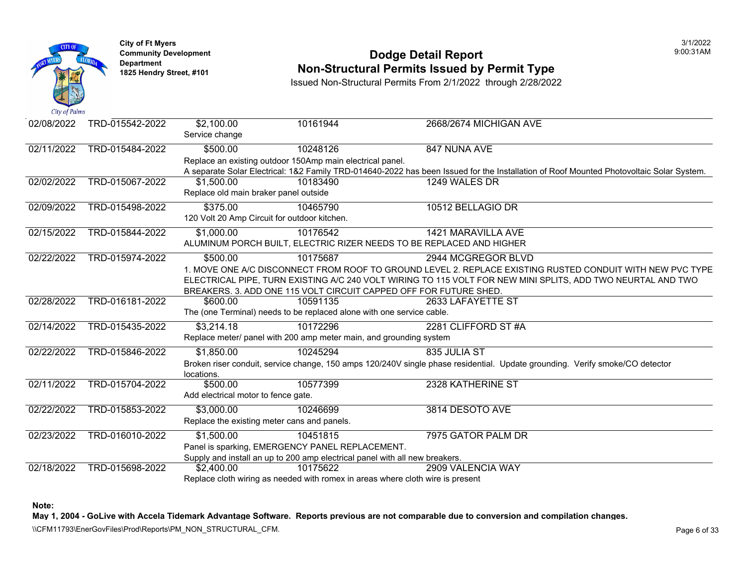

**City of Ft Myers** 3/1/2022 Department<br>1825 Hendry Street, #101

#### **Community Development Dodge Detail Report** 9:00:31AM **Non-Structural Permits Issued by Permit Type**

Issued Non-Structural Permits From 2/1/2022 through 2/28/2022

| 02/08/2022 | TRD-015542-2022 | \$2,100.00                                   | 10161944                                                                       | 2668/2674 MICHIGAN AVE                                                                                                                  |
|------------|-----------------|----------------------------------------------|--------------------------------------------------------------------------------|-----------------------------------------------------------------------------------------------------------------------------------------|
|            |                 | Service change                               |                                                                                |                                                                                                                                         |
| 02/11/2022 | TRD-015484-2022 | \$500.00                                     | 10248126                                                                       | 847 NUNA AVE                                                                                                                            |
|            |                 |                                              | Replace an existing outdoor 150Amp main electrical panel.                      |                                                                                                                                         |
|            |                 |                                              |                                                                                | A separate Solar Electrical: 1&2 Family TRD-014640-2022 has been Issued for the Installation of Roof Mounted Photovoltaic Solar System. |
| 02/02/2022 | TRD-015067-2022 | \$1,500.00                                   | 10183490                                                                       | 1249 WALES DR                                                                                                                           |
|            |                 | Replace old main braker panel outside        |                                                                                |                                                                                                                                         |
| 02/09/2022 | TRD-015498-2022 | \$375.00                                     | 10465790                                                                       | 10512 BELLAGIO DR                                                                                                                       |
|            |                 | 120 Volt 20 Amp Circuit for outdoor kitchen. |                                                                                |                                                                                                                                         |
| 02/15/2022 | TRD-015844-2022 | \$1,000.00                                   | 10176542                                                                       | 1421 MARAVILLA AVE                                                                                                                      |
|            |                 |                                              |                                                                                | ALUMINUM PORCH BUILT, ELECTRIC RIZER NEEDS TO BE REPLACED AND HIGHER                                                                    |
| 02/22/2022 | TRD-015974-2022 | \$500.00                                     | 10175687                                                                       | 2944 MCGREGOR BLVD                                                                                                                      |
|            |                 |                                              |                                                                                | 1. MOVE ONE A/C DISCONNECT FROM ROOF TO GROUND LEVEL 2. REPLACE EXISTING RUSTED CONDUIT WITH NEW PVC TYPE                               |
|            |                 |                                              |                                                                                | ELECTRICAL PIPE, TURN EXISTING A/C 240 VOLT WIRING TO 115 VOLT FOR NEW MINI SPLITS, ADD TWO NEURTAL AND TWO                             |
|            |                 |                                              |                                                                                | BREAKERS. 3. ADD ONE 115 VOLT CIRCUIT CAPPED OFF FOR FUTURE SHED.                                                                       |
| 02/28/2022 | TRD-016181-2022 | \$600.00                                     | 10591135                                                                       | 2633 LAFAYETTE ST                                                                                                                       |
|            |                 |                                              | The (one Terminal) needs to be replaced alone with one service cable.          |                                                                                                                                         |
| 02/14/2022 | TRD-015435-2022 | \$3,214.18                                   | 10172296                                                                       | 2281 CLIFFORD ST #A                                                                                                                     |
|            |                 |                                              | Replace meter/ panel with 200 amp meter main, and grounding system             |                                                                                                                                         |
| 02/22/2022 | TRD-015846-2022 | \$1,850.00                                   | 10245294                                                                       | 835 JULIA ST                                                                                                                            |
|            |                 |                                              |                                                                                | Broken riser conduit, service change, 150 amps 120/240V single phase residential. Update grounding. Verify smoke/CO detector            |
|            |                 | locations.                                   |                                                                                |                                                                                                                                         |
| 02/11/2022 | TRD-015704-2022 | \$500.00                                     | 10577399                                                                       | 2328 KATHERINE ST                                                                                                                       |
|            |                 | Add electrical motor to fence gate.          |                                                                                |                                                                                                                                         |
| 02/22/2022 | TRD-015853-2022 | \$3,000.00                                   | 10246699                                                                       | 3814 DESOTO AVE                                                                                                                         |
|            |                 |                                              | Replace the existing meter cans and panels.                                    |                                                                                                                                         |
| 02/23/2022 | TRD-016010-2022 | \$1,500.00                                   | 10451815                                                                       | 7975 GATOR PALM DR                                                                                                                      |
|            |                 |                                              | Panel is sparking, EMERGENCY PANEL REPLACEMENT.                                |                                                                                                                                         |
|            |                 |                                              | Supply and install an up to 200 amp electrical panel with all new breakers.    |                                                                                                                                         |
| 02/18/2022 | TRD-015698-2022 | \$2,400.00                                   | 10175622                                                                       | 2909 VALENCIA WAY                                                                                                                       |
|            |                 |                                              | Replace cloth wiring as needed with romex in areas where cloth wire is present |                                                                                                                                         |

**Note:** 

**May 1, 2004 - GoLive with Accela Tidemark Advantage Software. Reports previous are not comparable due to conversion and compilation changes.** 

\\CFM11793\EnerGovFiles\Prod\Reports\PM\_NON\_STRUCTURAL\_CFM.<br>Page 6 of 33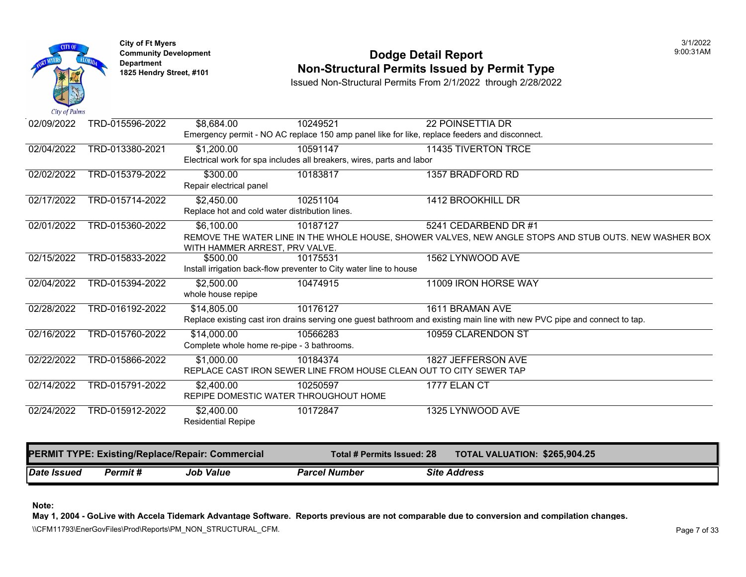

### **Community Development 1825 Community Development 1825 Hendry Street, #101 1825 Hendry Street, #101 1825 Hendry Street, #101 1825 Hendry Street, #101 1825 Hendry Street, #101 <b>Non-Structural Permits Issued by Permit Type**

Issued Non-Structural Permits From 2/1/2022 through 2/28/2022

| Date Issued | Permit#                                          | <b>Job Value</b>                                                                 | <b>Parcel Number</b> | <b>Site Address</b>                                                                                                       |  |
|-------------|--------------------------------------------------|----------------------------------------------------------------------------------|----------------------|---------------------------------------------------------------------------------------------------------------------------|--|
|             | PERMIT TYPE: Existing/Replace/Repair: Commercial |                                                                                  |                      | TOTAL VALUATION: \$265,904.25<br><b>Total # Permits Issued: 28</b>                                                        |  |
|             |                                                  | <b>Residential Repipe</b>                                                        |                      |                                                                                                                           |  |
| 02/24/2022  | TRD-015912-2022                                  | REPIPE DOMESTIC WATER THROUGHOUT HOME<br>\$2,400.00                              | 10172847             | 1325 LYNWOOD AVE                                                                                                          |  |
| 02/14/2022  | TRD-015791-2022                                  | \$2,400.00                                                                       | 10250597             | 1777 ELAN CT                                                                                                              |  |
| 02/22/2022  | TRD-015866-2022                                  | \$1,000.00                                                                       | 10184374             | 1827 JEFFERSON AVE<br>REPLACE CAST IRON SEWER LINE FROM HOUSE CLEAN OUT TO CITY SEWER TAP                                 |  |
| 02/16/2022  | TRD-015760-2022                                  | \$14,000.00<br>Complete whole home re-pipe - 3 bathrooms.                        | 10566283             | 10959 CLARENDON ST                                                                                                        |  |
|             |                                                  |                                                                                  |                      | Replace existing cast iron drains serving one guest bathroom and existing main line with new PVC pipe and connect to tap. |  |
| 02/28/2022  | TRD-016192-2022                                  | whole house repipe<br>\$14,805.00                                                | 10176127             | 1611 BRAMAN AVE                                                                                                           |  |
| 02/04/2022  | TRD-015394-2022                                  | Install irrigation back-flow preventer to City water line to house<br>\$2,500.00 | 10474915             | 11009 IRON HORSE WAY                                                                                                      |  |
| 02/15/2022  | TRD-015833-2022                                  | \$500.00                                                                         | 10175531             | 1562 LYNWOOD AVE                                                                                                          |  |
|             |                                                  | WITH HAMMER ARREST, PRV VALVE.                                                   |                      | REMOVE THE WATER LINE IN THE WHOLE HOUSE, SHOWER VALVES, NEW ANGLE STOPS AND STUB OUTS. NEW WASHER BOX                    |  |
| 02/01/2022  | TRD-015360-2022                                  | \$6,100.00                                                                       | 10187127             | 5241 CEDARBEND DR #1                                                                                                      |  |
| 02/17/2022  | TRD-015714-2022                                  | \$2,450.00<br>Replace hot and cold water distribution lines.                     | 10251104             | 1412 BROOKHILL DR                                                                                                         |  |
| 02/02/2022  | TRD-015379-2022                                  | \$300.00<br>Repair electrical panel                                              | 10183817             | 1357 BRADFORD RD                                                                                                          |  |
|             |                                                  | Electrical work for spa includes all breakers, wires, parts and labor            |                      |                                                                                                                           |  |
| 02/04/2022  | TRD-013380-2021                                  | \$1,200.00                                                                       | 10591147             | 11435 TIVERTON TRCE                                                                                                       |  |
| 02/09/2022  | TRD-015596-2022                                  | \$8,684.00                                                                       | 10249521             | <b>22 POINSETTIA DR</b><br>Emergency permit - NO AC replace 150 amp panel like for like, replace feeders and disconnect.  |  |
|             |                                                  |                                                                                  |                      |                                                                                                                           |  |

**Note:** 

**May 1, 2004 - GoLive with Accela Tidemark Advantage Software. Reports previous are not comparable due to conversion and compilation changes.** 

\\CFM11793\EnerGovFiles\Prod\Reports\PM\_NON\_STRUCTURAL\_CFM.<br>Page 7 of 33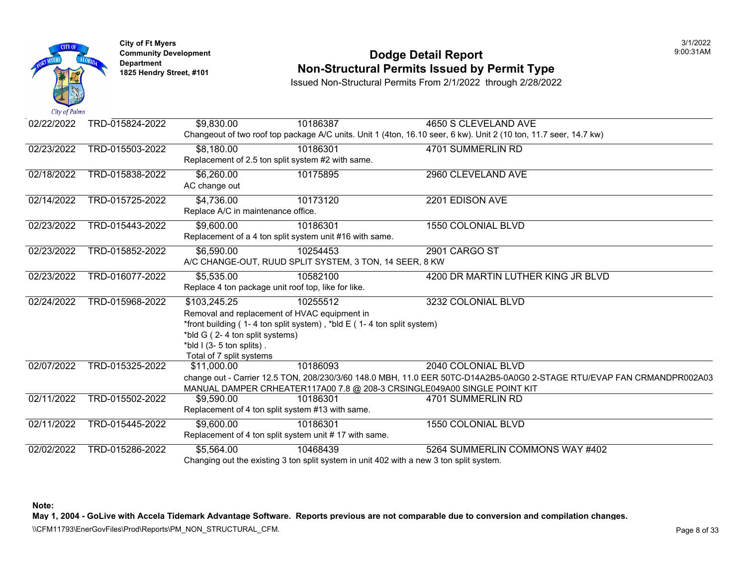

#### **Community Development Dodge Detail Report** 9:00:31AM **1825 Hendry Street, #101** Non-Structural Permits Issued by Permit Type

Issued Non-Structural Permits From 2/1/2022 through 2/28/2022

02/22/2022 TRD-015824-2022 \$9,830.00 Changeout of two roof top package A/C units. Unit 1 (4ton, 16.10 seer, 6 kw). Unit 2 (10 ton, 11.7 seer, 14.7 kw) 10186387 4650 S CLEVELAND AVE 02/23/2022 TRD-015503-2022 \$8,180.00 Replacement of 2.5 ton split system #2 with same. 10186301 4701 SUMMERLIN RD 02/18/2022 TRD-015838-2022 \$6,260.00 AC change out 10175895 2960 CLEVELAND AVE 02/14/2022 TRD-015725-2022 \$4.736.00 Replace A/C in maintenance office. 10173120 2201 EDISON AVE 02/23/2022 TRD-015443-2022 \$9,600.00 Replacement of a 4 ton split system unit #16 with same. 10186301 1550 COLONIAL BLVD 02/23/2022 TRD-015852-2022 \$6,590.00 A/C CHANGE-OUT, RUUD SPLIT SYSTEM, 3 TON, 14 SEER, 8 KW 10254453 2901 CARGO ST 02/23/2022 TRD-016077-2022 \$5,535.00 Replace 4 ton package unit roof top, like for like. 10582100 4200 DR MARTIN LUTHER KING JR BLVD 02/24/2022 02/07/2022 02/11/2022 TRD-015968-2022 TRD-015325-2022 TRD-015502-2022 \$103,245.25 Removal and replacement of HVAC equipment in \*front building ( 1- 4 ton split system), \*bld  $E$  ( 1- 4 ton split system) \*bld G ( 2- 4 ton split systems)  $*$ bld I (3-5 ton splits). Total of 7 split systems 10255512 3232 COLONIAL BLVD \$11,000.00 change out - Carrier 12.5 TON, 208/230/3/60 148.0 MBH, 11.0 EER 50TC-D14A2B5-0A0G0 2-STAGE RTU/EVAP FAN CRMANDPR002A03 MANUAL DAMPER CRHEATER117A00 7.8 @ 208-3 CRSINGLE049A00 SINGLE POINT KIT 10186093 2040 COLONIAL BLVD \$9,590.00 Replacement of 4 ton split system #13 with same. 10186301 4701 SUMMERLIN RD 02/11/2022 TRD-015445-2022 \$9.600.00 Replacement of 4 ton split system unit # 17 with same. 10186301 1550 COLONIAL BLVD 02/02/2022 TRD-015286-2022 \$5,564.00 Changing out the existing 3 ton split system in unit 402 with a new 3 ton split system. 10468439 5264 SUMMERLIN COMMONS WAY #402

**Note:** 

**May 1, 2004 - GoLive with Accela Tidemark Advantage Software. Reports previous are not comparable due to conversion and compilation changes.** 

\\CFM11793\EnerGovFiles\Prod\Reports\PM\_NON\_STRUCTURAL\_CFM.<br>Rage 8 of 33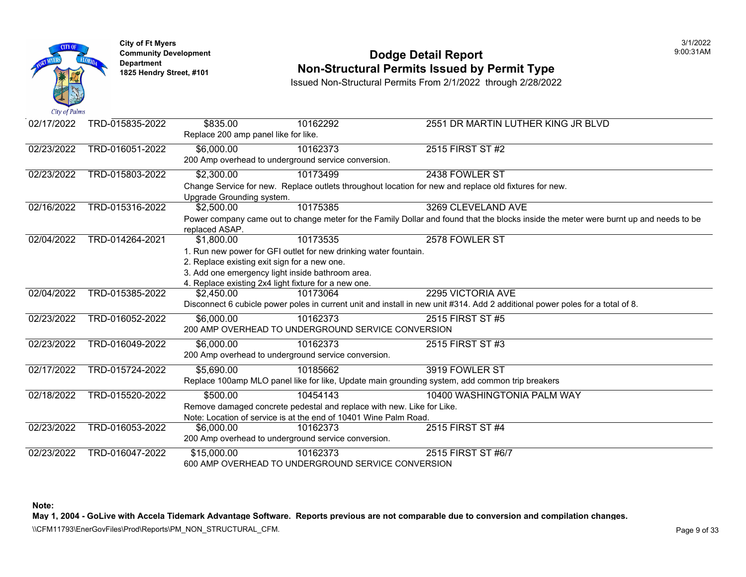

**City of Ft Myers** 3/1/2022 Department<br>1825 Hendry Street, #101

#### **Community Development Dodge Detail Report** 9:00:31AM **1825 Non-Structural Permits Issued by Permit Type**

Issued Non-Structural Permits From 2/1/2022 through 2/28/2022

| 02/17/2022 | TRD-015835-2022 | \$835.00                             | 10162292                                                              | 2551 DR MARTIN LUTHER KING JR BLVD                                                                                                    |
|------------|-----------------|--------------------------------------|-----------------------------------------------------------------------|---------------------------------------------------------------------------------------------------------------------------------------|
|            |                 | Replace 200 amp panel like for like. |                                                                       |                                                                                                                                       |
| 02/23/2022 | TRD-016051-2022 | \$6,000.00                           | 10162373                                                              | 2515 FIRST ST #2                                                                                                                      |
|            |                 |                                      | 200 Amp overhead to underground service conversion.                   |                                                                                                                                       |
| 02/23/2022 | TRD-015803-2022 | \$2,300.00                           | 10173499                                                              | 2438 FOWLER ST                                                                                                                        |
|            |                 |                                      |                                                                       | Change Service for new. Replace outlets throughout location for new and replace old fixtures for new.                                 |
|            |                 | Upgrade Grounding system.            |                                                                       |                                                                                                                                       |
| 02/16/2022 | TRD-015316-2022 | \$2,500.00                           | 10175385                                                              | 3269 CLEVELAND AVE                                                                                                                    |
|            |                 |                                      |                                                                       | Power company came out to change meter for the Family Dollar and found that the blocks inside the meter were burnt up and needs to be |
|            |                 | replaced ASAP.                       |                                                                       |                                                                                                                                       |
| 02/04/2022 | TRD-014264-2021 | \$1,800.00                           | 10173535                                                              | 2578 FOWLER ST                                                                                                                        |
|            |                 |                                      | 1. Run new power for GFI outlet for new drinking water fountain.      |                                                                                                                                       |
|            |                 |                                      | 2. Replace existing exit sign for a new one.                          |                                                                                                                                       |
|            |                 |                                      | 3. Add one emergency light inside bathroom area.                      |                                                                                                                                       |
|            |                 |                                      | 4. Replace existing 2x4 light fixture for a new one.                  |                                                                                                                                       |
| 02/04/2022 | TRD-015385-2022 | \$2,450.00                           | 10173064                                                              | 2295 VICTORIA AVE                                                                                                                     |
|            |                 |                                      |                                                                       | Disconnect 6 cubicle power poles in current unit and install in new unit #314. Add 2 additional power poles for a total of 8.         |
| 02/23/2022 | TRD-016052-2022 | \$6,000.00                           | 10162373                                                              | 2515 FIRST ST #5                                                                                                                      |
|            |                 |                                      | 200 AMP OVERHEAD TO UNDERGROUND SERVICE CONVERSION                    |                                                                                                                                       |
| 02/23/2022 | TRD-016049-2022 | \$6,000.00                           | 10162373                                                              | 2515 FIRST ST #3                                                                                                                      |
|            |                 |                                      | 200 Amp overhead to underground service conversion.                   |                                                                                                                                       |
| 02/17/2022 | TRD-015724-2022 | $\overline{$}5,690.00$               | 10185662                                                              | 3919 FOWLER ST                                                                                                                        |
|            |                 |                                      |                                                                       | Replace 100amp MLO panel like for like, Update main grounding system, add common trip breakers                                        |
| 02/18/2022 | TRD-015520-2022 | \$500.00                             | 10454143                                                              | 10400 WASHINGTONIA PALM WAY                                                                                                           |
|            |                 |                                      | Remove damaged concrete pedestal and replace with new. Like for Like. |                                                                                                                                       |
|            |                 |                                      | Note: Location of service is at the end of 10401 Wine Palm Road.      |                                                                                                                                       |
| 02/23/2022 | TRD-016053-2022 | \$6,000.00                           | 10162373                                                              | 2515 FIRST ST #4                                                                                                                      |
|            |                 |                                      | 200 Amp overhead to underground service conversion.                   |                                                                                                                                       |
| 02/23/2022 | TRD-016047-2022 | \$15,000.00                          | 10162373                                                              | 2515 FIRST ST #6/7                                                                                                                    |
|            |                 |                                      | 600 AMP OVERHEAD TO UNDERGROUND SERVICE CONVERSION                    |                                                                                                                                       |

**Note:** 

**May 1, 2004 - GoLive with Accela Tidemark Advantage Software. Reports previous are not comparable due to conversion and compilation changes.** 

\\CFM11793\EnerGovFiles\Prod\Reports\PM\_NON\_STRUCTURAL\_CFM.<br>Page 9 of 33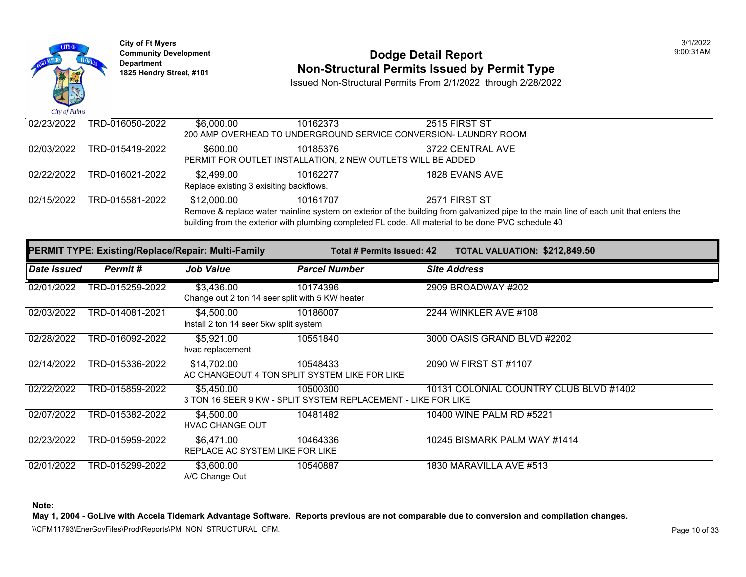

# **Community Development 1825 Hendright Community Development Department Department Am Dodge Detail Report Department Type 1825 Hendry Street, #101 <b>Non-Structural Permits Issued by Permit Type**

Issued Non-Structural Permits From 2/1/2022 through 2/28/2022

| 02/23/2022 | TRD-016050-2022 | \$6,000.00                                                                                                                                                                                                      | 10162373 | 2515 FIRST ST                                                    |  |  |  |  |
|------------|-----------------|-----------------------------------------------------------------------------------------------------------------------------------------------------------------------------------------------------------------|----------|------------------------------------------------------------------|--|--|--|--|
|            |                 |                                                                                                                                                                                                                 |          | 200 AMP OVERHEAD TO UNDERGROUND SERVICE CONVERSION- LAUNDRY ROOM |  |  |  |  |
| 02/03/2022 | TRD-015419-2022 | \$600.00                                                                                                                                                                                                        | 10185376 | 3722 CENTRAL AVE                                                 |  |  |  |  |
|            |                 | PERMIT FOR OUTLET INSTALLATION, 2 NEW OUTLETS WILL BE ADDED                                                                                                                                                     |          |                                                                  |  |  |  |  |
| 02/22/2022 | TRD-016021-2022 | \$2.499.00                                                                                                                                                                                                      | 10162277 | 1828 EVANS AVE                                                   |  |  |  |  |
|            |                 | Replace existing 3 exisiting backflows.                                                                                                                                                                         |          |                                                                  |  |  |  |  |
| 02/15/2022 | TRD-015581-2022 | \$12,000.00                                                                                                                                                                                                     | 10161707 | 2571 FIRST ST                                                    |  |  |  |  |
|            |                 | Remove & replace water mainline system on exterior of the building from galvanized pipe to the main line<br>building from the exterior with plumbing completed FL code. All material to be done PVC schedule 40 |          |                                                                  |  |  |  |  |

|                    |                 | <b>PERMIT TYPE: Existing/Replace/Repair: Multi-Family</b>     | Total # Permits Issued: 42                                                |                       | <b>TOTAL VALUATION: \$212,84</b> |
|--------------------|-----------------|---------------------------------------------------------------|---------------------------------------------------------------------------|-----------------------|----------------------------------|
| <b>Date Issued</b> | Permit#         | <b>Job Value</b>                                              | <b>Parcel Number</b>                                                      | <b>Site Address</b>   |                                  |
| 02/01/2022         | TRD-015259-2022 | \$3,436.00<br>Change out 2 ton 14 seer split with 5 KW heater | 10174396                                                                  | 2909 BROADWAY #202    |                                  |
| 02/03/2022         | TRD-014081-2021 | \$4,500.00<br>Install 2 ton 14 seer 5kw split system          | 10186007                                                                  | 2244 WINKLER AVE #108 |                                  |
| 02/28/2022         | TRD-016092-2022 | \$5,921.00<br>hvac replacement                                | 10551840                                                                  |                       | 3000 OASIS GRAND BLVD #2202      |
| 02/14/2022         | TRD-015336-2022 | \$14,702.00                                                   | 10548433<br>AC CHANGEOUT 4 TON SPLIT SYSTEM LIKE FOR LIKE                 | 2090 W FIRST ST #1107 |                                  |
| 02/22/2022         | TRD-015859-2022 | \$5.450.00                                                    | 10500300<br>3 TON 16 SEER 9 KW - SPLIT SYSTEM REPLACEMENT - LIKE FOR LIKE |                       | 10131 COLONIAL COUNTRY CLUE      |
| 02/07/2022         | TRD-015382-2022 | \$4,500.00<br><b>HVAC CHANGE OUT</b>                          | 10481482                                                                  |                       | 10400 WINE PALM RD #5221         |
| 02/23/2022         | TRD-015959-2022 | \$6,471.00<br>REPLACE AC SYSTEM LIKE FOR LIKE                 | 10464336                                                                  |                       | 10245 BISMARK PALM WAY #1414     |
| 02/01/2022         | TRD-015299-2022 | \$3,600.00<br>A/C Change Out                                  | 10540887                                                                  |                       | 1830 MARAVILLA AVE #513          |

**Note:**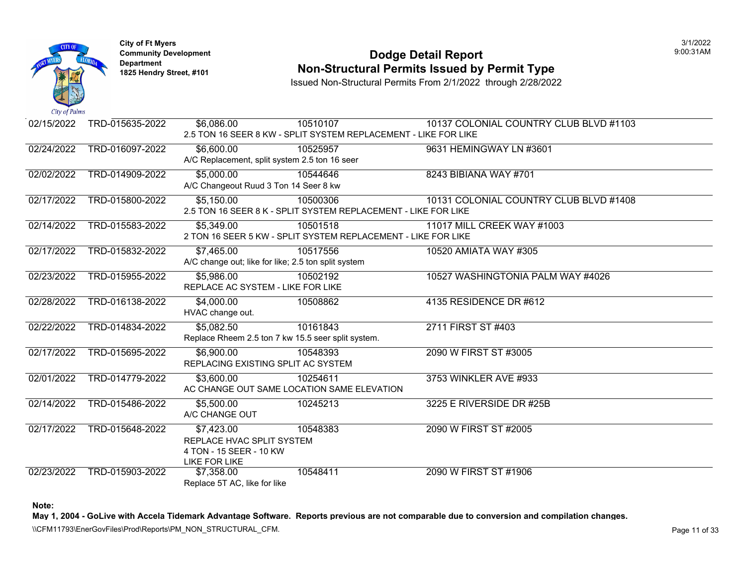

#### **Community Development Community Development Community Development 1825 Non-Structural Permits Issued by Permit Type**

Issued Non-Structural Permits From 2/1/2022 through 2/28/2022

| Cay <i>of Fullit</i> |                 |                                                     |                                                                 |                             |
|----------------------|-----------------|-----------------------------------------------------|-----------------------------------------------------------------|-----------------------------|
| 02/15/2022           | TRD-015635-2022 | \$6,086.00                                          | 10510107                                                        | 10137 COLONIAL COUNTRY CLUE |
|                      |                 |                                                     | 2.5 TON 16 SEER 8 KW - SPLIT SYSTEM REPLACEMENT - LIKE FOR LIKE |                             |
| 02/24/2022           | TRD-016097-2022 | \$6,600.00                                          | 10525957                                                        | 9631 HEMINGWAY LN #3601     |
|                      |                 | A/C Replacement, split system 2.5 ton 16 seer       |                                                                 |                             |
| 02/02/2022           | TRD-014909-2022 | \$5,000.00                                          | 10544646                                                        | 8243 BIBIANA WAY #701       |
|                      |                 | A/C Changeout Ruud 3 Ton 14 Seer 8 kw               |                                                                 |                             |
| 02/17/2022           | TRD-015800-2022 | $\overline{$5,150.00}$                              | 10500306                                                        | 10131 COLONIAL COUNTRY CLUE |
|                      |                 |                                                     | 2.5 TON 16 SEER 8 K - SPLIT SYSTEM REPLACEMENT - LIKE FOR LIKE  |                             |
| 02/14/2022           | TRD-015583-2022 | \$5,349.00                                          | 10501518                                                        | 11017 MILL CREEK WAY #1003  |
|                      |                 |                                                     | 2 TON 16 SEER 5 KW - SPLIT SYSTEM REPLACEMENT - LIKE FOR LIKE   |                             |
| 02/17/2022           | TRD-015832-2022 | \$7,465.00                                          | 10517556                                                        | 10520 AMIATA WAY #305       |
|                      |                 | A/C change out; like for like; 2.5 ton split system |                                                                 |                             |
| 02/23/2022           | TRD-015955-2022 | \$5,986.00                                          | 10502192                                                        | 10527 WASHINGTONIA PALM WAY |
|                      |                 | REPLACE AC SYSTEM - LIKE FOR LIKE                   |                                                                 |                             |
| 02/28/2022           | TRD-016138-2022 | \$4,000.00                                          | 10508862                                                        | 4135 RESIDENCE DR #612      |
|                      |                 | HVAC change out.                                    |                                                                 |                             |
| 02/22/2022           | TRD-014834-2022 | \$5,082.50                                          | 10161843                                                        | 2711 FIRST ST #403          |
|                      |                 | Replace Rheem 2.5 ton 7 kw 15.5 seer split system.  |                                                                 |                             |
| 02/17/2022           | TRD-015695-2022 | \$6,900.00                                          | 10548393                                                        | 2090 W FIRST ST #3005       |
|                      |                 | REPLACING EXISTING SPLIT AC SYSTEM                  |                                                                 |                             |
| 02/01/2022           | TRD-014779-2022 | \$3,600.00                                          | 10254611                                                        | 3753 WINKLER AVE #933       |
|                      |                 |                                                     | AC CHANGE OUT SAME LOCATION SAME ELEVATION                      |                             |
| 02/14/2022           | TRD-015486-2022 | \$5,500.00                                          | 10245213                                                        | 3225 E RIVERSIDE DR #25B    |
|                      |                 | A/C CHANGE OUT                                      |                                                                 |                             |
| 02/17/2022           | TRD-015648-2022 | \$7,423.00                                          | 10548383                                                        | 2090 W FIRST ST #2005       |
|                      |                 | REPLACE HVAC SPLIT SYSTEM                           |                                                                 |                             |
|                      |                 | 4 TON - 15 SEER - 10 KW                             |                                                                 |                             |
|                      |                 | <b>LIKE FOR LIKE</b>                                |                                                                 |                             |
| 02/23/2022           | TRD-015903-2022 | \$7,358.00                                          | 10548411                                                        | 2090 W FIRST ST #1906       |
|                      |                 | Replace 5T AC, like for like                        |                                                                 |                             |

**Note:**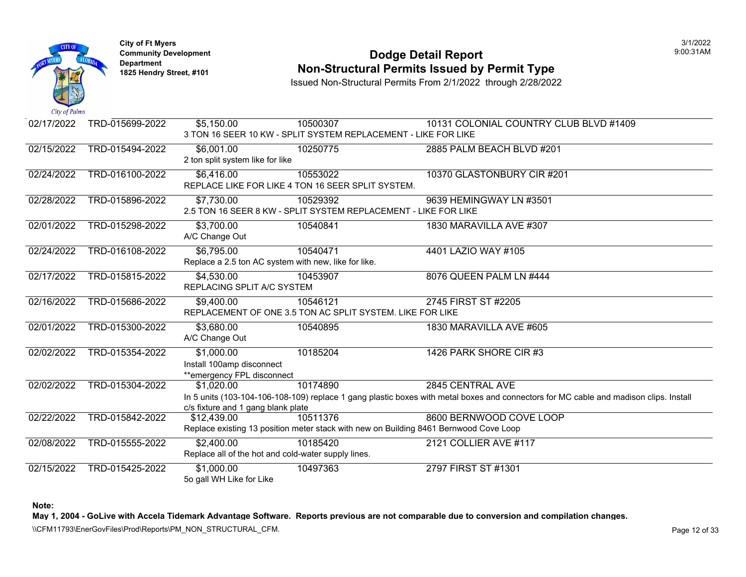

#### **Community Development Community Development Community Development 1825 Non-Structural Permits Issued by Permit Type**

Issued Non-Structural Permits From 2/1/2022 through 2/28/2022

| 02/17/2022 | TRD-015699-2022 | \$5,150.00                                                            | 10500307<br>3 TON 16 SEER 10 KW - SPLIT SYSTEM REPLACEMENT - LIKE FOR LIKE                        | 10131 COLONIAL COUNTRY CLUE                                                                                                 |
|------------|-----------------|-----------------------------------------------------------------------|---------------------------------------------------------------------------------------------------|-----------------------------------------------------------------------------------------------------------------------------|
| 02/15/2022 | TRD-015494-2022 | \$6,001.00<br>2 ton split system like for like                        | 10250775                                                                                          | 2885 PALM BEACH BLVD #201                                                                                                   |
| 02/24/2022 | TRD-016100-2022 | \$6,416.00                                                            | 10553022<br>REPLACE LIKE FOR LIKE 4 TON 16 SEER SPLIT SYSTEM.                                     | 10370 GLASTONBURY CIR #201                                                                                                  |
| 02/28/2022 | TRD-015896-2022 | \$7,730.00                                                            | 10529392<br>2.5 TON 16 SEER 8 KW - SPLIT SYSTEM REPLACEMENT - LIKE FOR LIKE                       | 9639 HEMINGWAY LN #3501                                                                                                     |
| 02/01/2022 | TRD-015298-2022 | \$3,700.00<br>A/C Change Out                                          | 10540841                                                                                          | 1830 MARAVILLA AVE #307                                                                                                     |
| 02/24/2022 | TRD-016108-2022 | \$6,795.00<br>Replace a 2.5 ton AC system with new, like for like.    | 10540471                                                                                          | 4401 LAZIO WAY #105                                                                                                         |
| 02/17/2022 | TRD-015815-2022 | \$4,530.00<br>REPLACING SPLIT A/C SYSTEM                              | 10453907                                                                                          | 8076 QUEEN PALM LN #444                                                                                                     |
| 02/16/2022 | TRD-015686-2022 | \$9,400.00                                                            | 10546121<br>REPLACEMENT OF ONE 3.5 TON AC SPLIT SYSTEM. LIKE FOR LIKE                             | 2745 FIRST ST #2205                                                                                                         |
| 02/01/2022 | TRD-015300-2022 | \$3,680.00<br>A/C Change Out                                          | 10540895                                                                                          | 1830 MARAVILLA AVE #605                                                                                                     |
| 02/02/2022 | TRD-015354-2022 | \$1,000.00<br>Install 100amp disconnect<br>**emergency FPL disconnect | 10185204                                                                                          | 1426 PARK SHORE CIR #3                                                                                                      |
| 02/02/2022 | TRD-015304-2022 | \$1,020.00<br>c/s fixture and 1 gang blank plate                      | 10174890                                                                                          | 2845 CENTRAL AVE<br>In 5 units (103-104-106-108-109) replace 1 gang plastic boxes with metal boxes and connectors for MC of |
| 02/22/2022 | TRD-015842-2022 | \$12,439.00                                                           | 10511376<br>Replace existing 13 position meter stack with new on Building 8461 Bernwood Cove Loop | 8600 BERNWOOD COVE LOOP                                                                                                     |
| 02/08/2022 | TRD-015555-2022 | \$2,400.00<br>Replace all of the hot and cold-water supply lines.     | 10185420                                                                                          | 2121 COLLIER AVE #117                                                                                                       |
| 02/15/2022 | TRD-015425-2022 | \$1,000.00<br>5o gall WH Like for Like                                | 10497363                                                                                          | 2797 FIRST ST #1301                                                                                                         |

**Note:**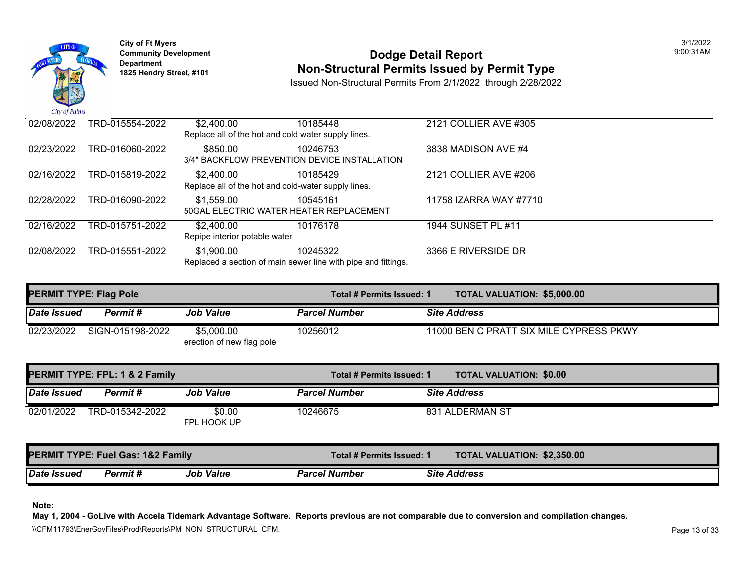

### **Community Development Community Development Community Development 1825 Non-Structural Permits Issued by Permit Type**

Issued Non-Structural Permits From 2/1/2022 through 2/28/2022

| 02/08/2022 | TRD-015554-2022 | \$2,400.00                    | 10185448                                                      | 2121 COLLIER AVE #305  |
|------------|-----------------|-------------------------------|---------------------------------------------------------------|------------------------|
|            |                 |                               | Replace all of the hot and cold water supply lines.           |                        |
| 02/23/2022 | TRD-016060-2022 | \$850.00                      | 10246753                                                      | 3838 MADISON AVE #4    |
|            |                 |                               | 3/4" BACKFLOW PREVENTION DEVICE INSTALLATION                  |                        |
| 02/16/2022 | TRD-015819-2022 | \$2,400.00                    | 10185429                                                      | 2121 COLLIER AVE #206  |
|            |                 |                               | Replace all of the hot and cold-water supply lines.           |                        |
| 02/28/2022 | TRD-016090-2022 | \$1,559.00                    | 10545161                                                      | 11758 IZARRA WAY #7710 |
|            |                 |                               | 50GAL ELECTRIC WATER HEATER REPLACEMENT                       |                        |
| 02/16/2022 | TRD-015751-2022 | \$2,400.00                    | 10176178                                                      | 1944 SUNSET PL #11     |
|            |                 | Repipe interior potable water |                                                               |                        |
| 02/08/2022 | TRD-015551-2022 | \$1,900.00                    | 10245322                                                      | 3366 E RIVERSIDE DR    |
|            |                 |                               | Replaced a section of main sewer line with pipe and fittings. |                        |

|             | <b>PERMIT TYPE: Flag Pole</b> |                                         | Total # Permits Issued: 1 | <b>TOTAL VALUATION: \$5,000.0</b> |
|-------------|-------------------------------|-----------------------------------------|---------------------------|-----------------------------------|
| Date Issued | Permit #                      | <b>Job Value</b>                        | <b>Parcel Number</b>      | <b>Site Address</b>               |
| 02/23/2022  | SIGN-015198-2022              | \$5,000.00<br>erection of new flag pole | 10256012                  | 11000 BEN C PRATT SIX MILE CYL    |

| PERMIT TYPE: FPL: 1 & 2 Family |                                              |                       | Total # Permits Issued: 1 | <b>TOTAL VALUATION: \$0.00</b>    |
|--------------------------------|----------------------------------------------|-----------------------|---------------------------|-----------------------------------|
| Date Issued                    | Permit #                                     | <b>Job Value</b>      | <b>Parcel Number</b>      | <b>Site Address</b>               |
| 02/01/2022                     | TRD-015342-2022                              | \$0.00<br>FPL HOOK UP | 10246675                  | 831 ALDERMAN ST                   |
|                                | <b>PERMIT TYPE: Fuel Gas: 1&amp;2 Family</b> |                       | Total # Permits Issued: 1 | <b>TOTAL VALUATION: \$2,350.0</b> |
| <b>Date Issued</b>             | Permit#                                      | <b>Job Value</b>      | <b>Parcel Number</b>      | <b>Site Address</b>               |

**Note:**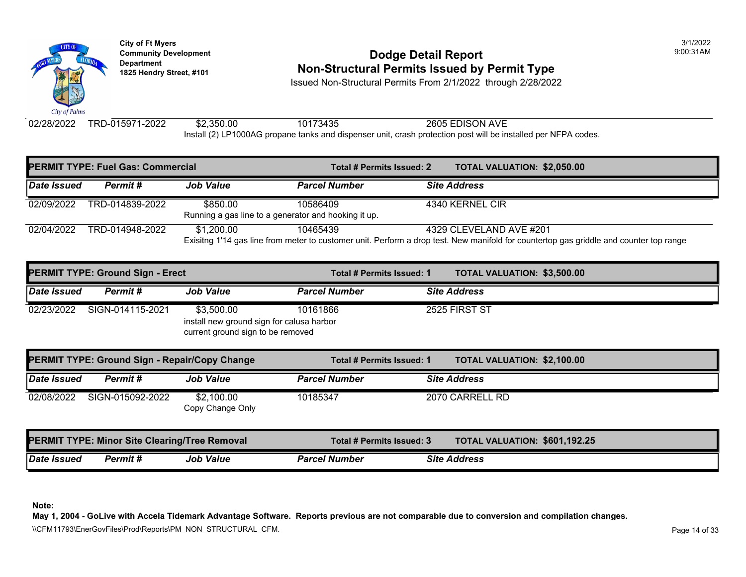

### **Community Development Community Development Community Development 1825 Hendry Street, #101 Non-Structural Permits Issued by Permit Type**

Issued Non-Structural Permits From 2/1/2022 through 2/28/2022

02/28/2022 TRD-015971-2022 \$2,350.00 10173435 2605 EDISON AVE Install (2) LP1000AG propane tanks and dispenser unit, crash protection post will be installed per NFPA of

| <b>PERMIT TYPE: Fuel Gas: Commercial</b> |                 |                                                                  | Total # Permits Issued: 2                                                                                            | <b>TOTAL VALUATION: \$2,050.0</b> |  |
|------------------------------------------|-----------------|------------------------------------------------------------------|----------------------------------------------------------------------------------------------------------------------|-----------------------------------|--|
| Date Issued                              | Permit #        | <b>Job Value</b>                                                 | <b>Parcel Number</b>                                                                                                 | <b>Site Address</b>               |  |
| 02/09/2022                               | TRD-014839-2022 | \$850.00<br>Running a gas line to a generator and hooking it up. | 10586409                                                                                                             | 4340 KERNEL CIR                   |  |
| 02/04/2022                               | TRD-014948-2022 | \$1,200,00                                                       | 10465439<br>Exisitng 1'14 gas line from meter to customer unit. Perform a drop test. New manifold for countertop gas | 4329 CLEVELAND AVE #201           |  |

|             | <b>PERMIT TYPE: Ground Sign - Erect</b>              |                                                                                              | Total # Permits Issued: 1        |  | <b>TOTAL VALUATION: \$3,500.0</b> |  |
|-------------|------------------------------------------------------|----------------------------------------------------------------------------------------------|----------------------------------|--|-----------------------------------|--|
| Date Issued | Permit#                                              | <b>Job Value</b>                                                                             | <b>Parcel Number</b>             |  | <b>Site Address</b>               |  |
| 02/23/2022  | SIGN-014115-2021                                     | \$3,500.00<br>install new ground sign for calusa harbor<br>current ground sign to be removed | 10161866                         |  | 2525 FIRST ST                     |  |
|             | <b>PERMIT TYPE: Ground Sign - Repair/Copy Change</b> |                                                                                              | Total # Permits Issued: 1        |  | <b>TOTAL VALUATION: \$2,100.0</b> |  |
|             |                                                      |                                                                                              |                                  |  |                                   |  |
| Date Issued | Permit #                                             | <b>Job Value</b>                                                                             | <b>Parcel Number</b>             |  | <b>Site Address</b>               |  |
| 02/08/2022  | SIGN-015092-2022                                     | \$2,100.00<br>Copy Change Only                                                               | 10185347                         |  | 2070 CARRELL RD                   |  |
|             | <b>PERMIT TYPE: Minor Site Clearing/Tree Removal</b> |                                                                                              | <b>Total # Permits Issued: 3</b> |  | <b>TOTAL VALUATION: \$601,19</b>  |  |

**Note:**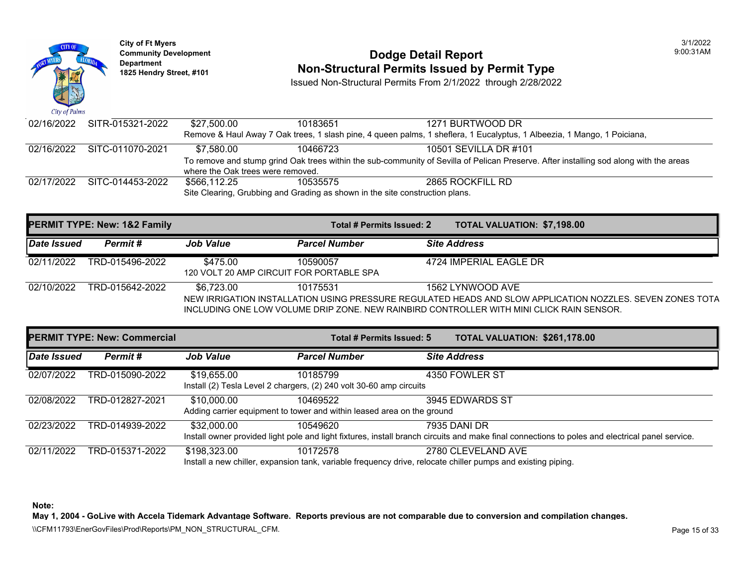

## **Community Development 1825 Community Development 1825 Hendry Street, #101 1825 Hendry Street, #101 1825 Hendry Street, #101 1825 Hendry Street, #101 1825 Hendry Street, #101 <b>Non-Structural Permits Issued by Permit Type**

Issued Non-Structural Permits From 2/1/2022 through 2/28/2022

| 02/16/2022 SITR-015321-2022 | \$27,500.00                       | 10183651 | 1271 BURTWOOD DR                                                                                                                       |
|-----------------------------|-----------------------------------|----------|----------------------------------------------------------------------------------------------------------------------------------------|
|                             |                                   |          | Remove & Haul Away 7 Oak trees, 1 slash pine, 4 queen palms, 1 sheflera, 1 Eucalyptus, 1 Albeezia, 1 Mango, 1 Poiciana,                |
| 02/16/2022 SITC-011070-2021 | \$7.580.00                        | 10466723 | 10501 SEVILLA DR #101                                                                                                                  |
|                             |                                   |          | To remove and stump grind Oak trees within the sub-community of Sevilla of Pelican Preserve. After installing sod along with the areas |
|                             | where the Oak trees were removed. |          |                                                                                                                                        |
| 02/17/2022 SITC-014453-2022 | \$566.112.25                      | 10535575 | 2865 ROCKFILL RD                                                                                                                       |
|                             |                                   |          | Site Clearing, Grubbing and Grading as shown in the site construction plans.                                                           |

| <b>PERMIT TYPE: New: 1&amp;2 Family</b> |                 | <b>TOTAL VALUATION: \$7,198.00</b><br>Total # Permits Issued: 2 |                      |                                                                                                                                                                                                                           |
|-----------------------------------------|-----------------|-----------------------------------------------------------------|----------------------|---------------------------------------------------------------------------------------------------------------------------------------------------------------------------------------------------------------------------|
| Date Issued                             | Permit#         | <b>Job Value</b>                                                | <b>Parcel Number</b> | <b>Site Address</b>                                                                                                                                                                                                       |
| 02/11/2022                              | TRD-015496-2022 | \$475.00<br>120 VOLT 20 AMP CIRCUIT FOR PORTABLE SPA            | 10590057             | 4724 IMPERIAL EAGLE DR                                                                                                                                                                                                    |
| 02/10/2022                              | TRD-015642-2022 | \$6,723.00                                                      | 10175531             | 1562 LYNWOOD AVE<br>NEW IRRIGATION INSTALLATION USING PRESSURE REGULATED HEADS AND SLOW APPLICATION NOZZLES. SEVEN ZONES TOTA<br>INCLUDING ONE LOW VOLUME DRIP ZONE. NEW RAINBIRD CONTROLLER WITH MINI CLICK RAIN SENSOR. |

|             | <b>PERMIT TYPE: New: Commercial</b> |                  | Total # Permits Issued: 5                                                          | TOTAL VALUATION: \$261,178.00                                                                                                                                   |
|-------------|-------------------------------------|------------------|------------------------------------------------------------------------------------|-----------------------------------------------------------------------------------------------------------------------------------------------------------------|
| Date Issued | Permit#                             | <b>Job Value</b> | <b>Parcel Number</b>                                                               | <b>Site Address</b>                                                                                                                                             |
| 02/07/2022  | TRD-015090-2022                     | \$19,655.00      | 10185799<br>Install (2) Tesla Level 2 chargers, (2) 240 volt 30-60 amp circuits    | 4350 FOWLER ST                                                                                                                                                  |
| 02/08/2022  | TRD-012827-2021                     | \$10,000.00      | 10469522<br>Adding carrier equipment to tower and within leased area on the ground | 3945 EDWARDS ST                                                                                                                                                 |
| 02/23/2022  | TRD-014939-2022                     | \$32,000.00      | 10549620                                                                           | 7935 DANI DR<br>Install owner provided light pole and light fixtures, install branch circuits and make final connections to poles and electrical panel service. |
| 02/11/2022  | TRD-015371-2022                     | \$198,323.00     | 10172578                                                                           | 2780 CLEVELAND AVE                                                                                                                                              |

Install a new chiller, expansion tank, variable frequency drive, relocate chiller pumps and existing piping.

**Note:** 

**May 1, 2004 - GoLive with Accela Tidemark Advantage Software. Reports previous are not comparable due to conversion and compilation changes.** 

\\CFM11793\EnerGovFiles\Prod\Reports\PM\_NON\_STRUCTURAL\_CFM.<br>Page 15 of 33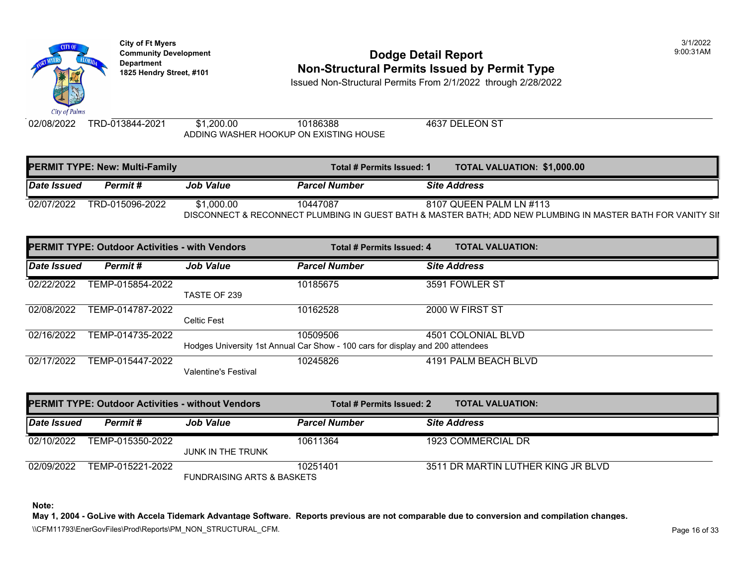

### **Community Development Community Development Community Development Non-Structural Permits Issued by Permit Type**

Issued Non-Structural Permits From 2/1/2022 through 2/28/2022

02/08/2022 TRD-013844-2021 \$1,200.00 10186388 4637 DELEON ST ADDING WASHER HOOKUP ON EXISTING HOUSE

| <b>PERMIT TYPE: New: Multi-Family</b>                                         |                 |                  | Total # Permits Issued: 1 |  | <b>TOTAL VALUATION: \$1,000.0</b> |
|-------------------------------------------------------------------------------|-----------------|------------------|---------------------------|--|-----------------------------------|
| Date Issued                                                                   | Permit #        | <b>Job Value</b> | <b>Parcel Number</b>      |  | <b>Site Address</b>               |
| 02/07/2022                                                                    | TRD-015096-2022 | \$1,000.00       | 10447087                  |  | 8107 QUEEN PALM LN #113           |
| DISCONNECT & RECONNECT PLUMBING IN GUEST BATH & MASTER BATH; ADD NEW PLUMBING |                 |                  |                           |  |                                   |

|             | <b>PERMIT TYPE: Outdoor Activities - with Vendors</b> |                      | Total # Permits Issued: 4                                                                  | <b>TOTAL VALUATION:</b> |
|-------------|-------------------------------------------------------|----------------------|--------------------------------------------------------------------------------------------|-------------------------|
| Date Issued | Permit#                                               | <b>Job Value</b>     | <b>Parcel Number</b>                                                                       | <b>Site Address</b>     |
| 02/22/2022  | TEMP-015854-2022                                      | TASTE OF 239         | 10185675                                                                                   | 3591 FOWLER ST          |
| 02/08/2022  | TEMP-014787-2022                                      | <b>Celtic Fest</b>   | 10162528                                                                                   | 2000 W FIRST ST         |
| 02/16/2022  | TEMP-014735-2022                                      |                      | 10509506<br>Hodges University 1st Annual Car Show - 100 cars for display and 200 attendees | 4501 COLONIAL BLVD      |
| 02/17/2022  | TEMP-015447-2022                                      | Valentine's Festival | 10245826                                                                                   | 4191 PALM BEACH BLVD    |

| <b>PERMIT TYPE: Outdoor Activities - without Vendors</b> |                  |                                       | Total # Permits Issued: 2 | <b>TOTAL VALUATION:</b>      |
|----------------------------------------------------------|------------------|---------------------------------------|---------------------------|------------------------------|
| Date Issued                                              | Permit #         | <b>Job Value</b>                      | <b>Parcel Number</b>      | <b>Site Address</b>          |
| 02/10/2022                                               | TEMP-015350-2022 |                                       | 10611364                  | 1923 COMMERCIAL DR           |
|                                                          |                  | <b>JUNK IN THE TRUNK</b>              |                           |                              |
| 02/09/2022                                               | TEMP-015221-2022 |                                       | 10251401                  | 3511 DR MARTIN LUTHER KING J |
|                                                          |                  | <b>FUNDRAISING ARTS &amp; BASKETS</b> |                           |                              |

**Note:**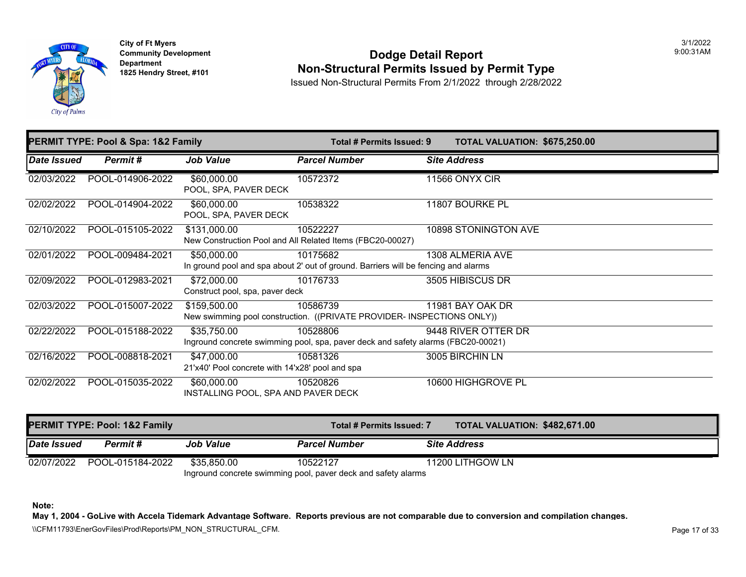

**City of Ft Myers Community Development Department 1825 Hendry Street, #101** 

### **Dodge Detail Report Non-Structural Permits Issued by Permit Type**

Issued Non-Structural Permits From 2/1/2022 through 2/28/2022

|                     | PERMIT TYPE: Pool & Spa: 1&2 Family |                                                                | Total # Permits Issued: 9                                                                      | <b>TOTAL VALUATION: \$675,25</b> |
|---------------------|-------------------------------------|----------------------------------------------------------------|------------------------------------------------------------------------------------------------|----------------------------------|
| Date Issued         | Permit#                             | <b>Job Value</b>                                               | <b>Parcel Number</b>                                                                           | <b>Site Address</b>              |
| 02/03/2022          | POOL-014906-2022                    | \$60,000.00<br>POOL, SPA, PAVER DECK                           | 10572372                                                                                       | 11566 ONYX CIR                   |
| 02/02/2022          | POOL-014904-2022                    | \$60,000.00<br>POOL, SPA, PAVER DECK                           | 10538322                                                                                       | 11807 BOURKE PL                  |
| 02/10/2022          | POOL-015105-2022                    | \$131,000.00                                                   | 10522227<br>New Construction Pool and All Related Items (FBC20-00027)                          | 10898 STONINGTON AVE             |
| 02/01/2022          | POOL-009484-2021                    | \$50,000.00                                                    | 10175682<br>In ground pool and spa about 2' out of ground. Barriers will be fencing and alarms | 1308 ALMERIA AVE                 |
| 02/09/2022          | POOL-012983-2021                    | \$72,000.00<br>Construct pool, spa, paver deck                 | 10176733                                                                                       | 3505 HIBISCUS DR                 |
| $\sqrt{02/03}/2022$ | POOL-015007-2022                    | \$159,500.00                                                   | 10586739<br>New swimming pool construction. ((PRIVATE PROVIDER- INSPECTIONS ONLY))             | 11981 BAY OAK DR                 |
| 02/22/2022          | POOL-015188-2022                    | \$35,750.00                                                    | 10528806<br>Inground concrete swimming pool, spa, paver deck and safety alarms (FBC20-00021)   | 9448 RIVER OTTER DR              |
| 02/16/2022          | POOL-008818-2021                    | \$47,000.00<br>21'x40' Pool concrete with 14'x28' pool and spa | 10581326                                                                                       | 3005 BIRCHIN LN                  |
| 02/02/2022          | POOL-015035-2022                    | \$60,000.00<br>INSTALLING POOL, SPA AND PAVER DECK             | 10520826                                                                                       | 10600 HIGHGROVE PL               |

|                                                               | PERMIT TYPE: Pool: 1&2 Family |                  | Total # Permits Issued: 7 | <b>TOTAL VALUATION: \$482,67</b> |  |  |  |
|---------------------------------------------------------------|-------------------------------|------------------|---------------------------|----------------------------------|--|--|--|
| <b>Date Issued</b>                                            | Permit #                      | <b>Job Value</b> | <b>Parcel Number</b>      | <b>Site Address</b>              |  |  |  |
|                                                               | 02/07/2022 POOL-015184-2022   | \$35.850.00      | 10522127                  | 11200 LITHGOW LN                 |  |  |  |
| Inground concrete swimming pool, paver deck and safety alarms |                               |                  |                           |                                  |  |  |  |

**Note:**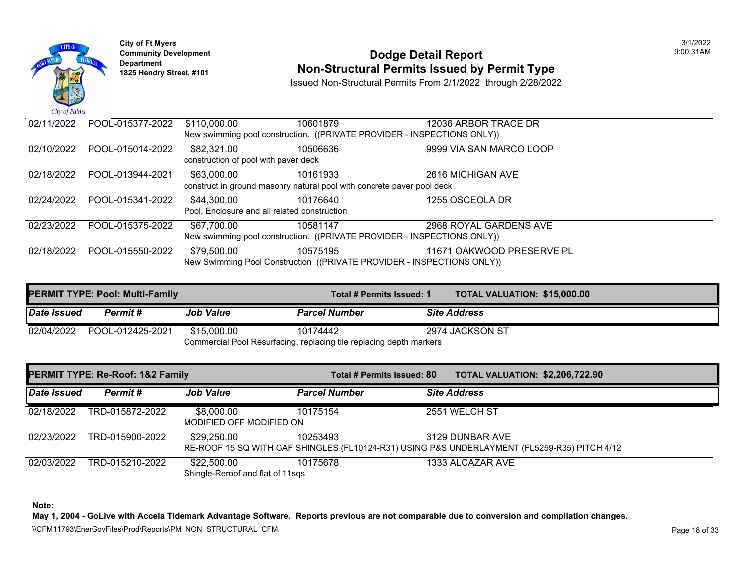

# **Community Development 1825 Hendright Community Development Department Department Am Dodge Detail Report Department Type 1825 Hendry Street, #101 <b>Non-Structural Permits Issued by Permit Type**

Issued Non-Structural Permits From 2/1/2022 through 2/28/2022

| 02/11/2022 | POOL-015377-2022 | \$110,000.00                         | 10601879                                                               | 12036 ARBOR TRACE DR                                                    |
|------------|------------------|--------------------------------------|------------------------------------------------------------------------|-------------------------------------------------------------------------|
|            |                  |                                      |                                                                        | New swimming pool construction. ((PRIVATE PROVIDER - INSPECTIONS ONLY)) |
| 02/10/2022 | POOL-015014-2022 | \$82,321.00                          | 10506636                                                               | 9999 VIA SAN MARCO LOOP                                                 |
|            |                  | construction of pool with paver deck |                                                                        |                                                                         |
| 02/18/2022 | POOL-013944-2021 | \$63,000.00                          | 10161933                                                               | 2616 MICHIGAN AVE                                                       |
|            |                  |                                      | construct in ground masonry natural pool with concrete paver pool deck |                                                                         |
| 02/24/2022 | POOL-015341-2022 | \$44,300.00                          | 10176640                                                               | 1255 OSCEOLA DR                                                         |
|            |                  |                                      | Pool, Enclosure and all related construction                           |                                                                         |
| 02/23/2022 | POOL-015375-2022 | \$67,700.00                          | 10581147                                                               | 2968 ROYAL GARDENS AVE                                                  |
|            |                  |                                      |                                                                        | New swimming pool construction. ((PRIVATE PROVIDER - INSPECTIONS ONLY)) |
| 02/18/2022 | POOL-015550-2022 | \$79,500.00                          | 10575195                                                               | 11671 OAKWOOD PRESERVE PL                                               |
|            |                  |                                      |                                                                        | New Swimming Pool Construction ((PRIVATE PROVIDER - INSPECTIONS ONLY))  |

|                                                                     | PERMIT TYPE: Pool: Multi-Family |                  | Total # Permits Issued: 1 | <b>TOTAL VALUATION: \$15,000</b> |  |
|---------------------------------------------------------------------|---------------------------------|------------------|---------------------------|----------------------------------|--|
| Date Issued                                                         | Permit #                        | <b>Job Value</b> | <b>Parcel Number</b>      | <b>Site Address</b>              |  |
|                                                                     | 02/04/2022 POOL-012425-2021     | \$15,000.00      | 10174442                  | 2974 JACKSON ST                  |  |
| Commercial Pool Resurfacing, replacing tile replacing depth markers |                                 |                  |                           |                                  |  |

|             | PERMIT TYPE: Re-Roof: 1&2 Family |                                                 | Total # Permits Issued: 80 | <b>TOTAL VALUATION: \$2,206,7</b>                                                                    |
|-------------|----------------------------------|-------------------------------------------------|----------------------------|------------------------------------------------------------------------------------------------------|
| Date Issued | Permit#                          | <b>Job Value</b>                                | <b>Parcel Number</b>       | <b>Site Address</b>                                                                                  |
| 02/18/2022  | TRD-015872-2022                  | \$8,000.00<br>MODIFIED OFF MODIFIED ON          | 10175154                   | 2551 WELCH ST                                                                                        |
| 02/23/2022  | TRD-015900-2022                  | \$29,250.00                                     | 10253493                   | 3129 DUNBAR AVE<br>RE-ROOF 15 SQ WITH GAF SHINGLES (FL10124-R31) USING P&S UNDERLAYMENT (FL5259-R35) |
| 02/03/2022  | TRD-015210-2022                  | \$22,500.00<br>Shingle-Reroof and flat of 11sqs | 10175678                   | 1333 ALCAZAR AVE                                                                                     |

**Note:**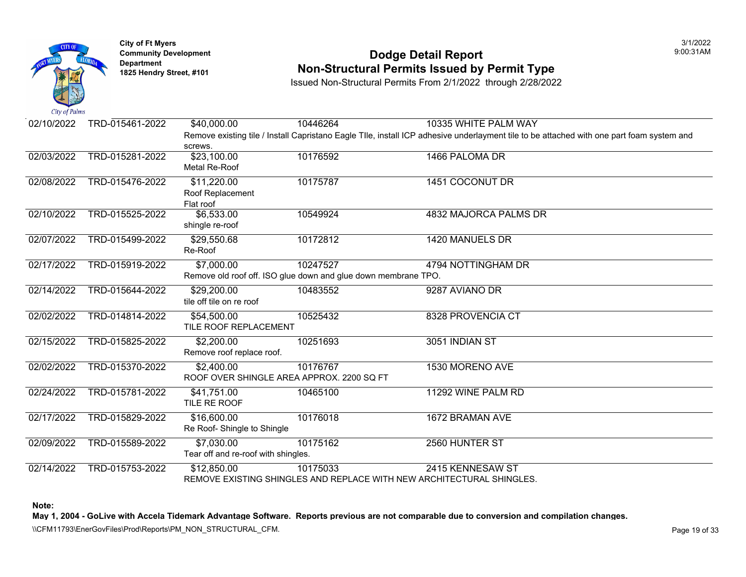

### **Community Development Community Development Community Development 1825 Non-Structural Permits Issued by Permit Type**

Issued Non-Structural Permits From 2/1/2022 through 2/28/2022

| 02/10/2022 | TRD-015461-2022 | \$40,000.00                               | 10446264                                                              | 10335 WHITE PALM WAY                                                                                        |
|------------|-----------------|-------------------------------------------|-----------------------------------------------------------------------|-------------------------------------------------------------------------------------------------------------|
|            |                 |                                           |                                                                       | Remove existing tile / Install Capristano Eagle Tlle, install ICP adhesive underlayment tile to be attached |
|            |                 | screws.                                   |                                                                       |                                                                                                             |
| 02/03/2022 | TRD-015281-2022 | \$23,100.00                               | 10176592                                                              | 1466 PALOMA DR                                                                                              |
|            |                 | Metal Re-Roof                             |                                                                       |                                                                                                             |
| 02/08/2022 | TRD-015476-2022 | \$11,220.00                               | 10175787                                                              | 1451 COCONUT DR                                                                                             |
|            |                 | Roof Replacement                          |                                                                       |                                                                                                             |
|            |                 | Flat roof                                 |                                                                       |                                                                                                             |
| 02/10/2022 | TRD-015525-2022 | \$6,533.00                                | 10549924                                                              | 4832 MAJORCA PALMS DR                                                                                       |
|            |                 | shingle re-roof                           |                                                                       |                                                                                                             |
| 02/07/2022 | TRD-015499-2022 | \$29,550.68                               | 10172812                                                              | 1420 MANUELS DR                                                                                             |
|            |                 | Re-Roof                                   |                                                                       |                                                                                                             |
| 02/17/2022 | TRD-015919-2022 | \$7,000.00                                | 10247527                                                              | 4794 NOTTINGHAM DR                                                                                          |
|            |                 |                                           | Remove old roof off. ISO glue down and glue down membrane TPO.        |                                                                                                             |
| 02/14/2022 | TRD-015644-2022 | \$29,200.00                               | 10483552                                                              | 9287 AVIANO DR                                                                                              |
|            |                 | tile off tile on re roof                  |                                                                       |                                                                                                             |
| 02/02/2022 | TRD-014814-2022 | \$54,500.00                               | 10525432                                                              | 8328 PROVENCIA CT                                                                                           |
|            |                 | TILE ROOF REPLACEMENT                     |                                                                       |                                                                                                             |
|            |                 |                                           |                                                                       |                                                                                                             |
| 02/15/2022 | TRD-015825-2022 | \$2,200.00                                | 10251693                                                              | 3051 INDIAN ST                                                                                              |
|            |                 | Remove roof replace roof.                 |                                                                       |                                                                                                             |
| 02/02/2022 | TRD-015370-2022 | \$2,400.00                                | 10176767                                                              | 1530 MORENO AVE                                                                                             |
|            |                 | ROOF OVER SHINGLE AREA APPROX. 2200 SQ FT |                                                                       |                                                                                                             |
| 02/24/2022 | TRD-015781-2022 | \$41,751.00                               | 10465100                                                              | 11292 WINE PALM RD                                                                                          |
|            |                 | TILE RE ROOF                              |                                                                       |                                                                                                             |
| 02/17/2022 | TRD-015829-2022 | \$16,600.00                               | 10176018                                                              | 1672 BRAMAN AVE                                                                                             |
|            |                 | Re Roof- Shingle to Shingle               |                                                                       |                                                                                                             |
| 02/09/2022 | TRD-015589-2022 | \$7,030.00                                | 10175162                                                              | 2560 HUNTER ST                                                                                              |
|            |                 | Tear off and re-roof with shingles.       |                                                                       |                                                                                                             |
| 02/14/2022 | TRD-015753-2022 | \$12,850.00                               | 10175033                                                              | 2415 KENNESAW ST                                                                                            |
|            |                 |                                           | REMOVE EXISTING SHINGLES AND REPLACE WITH NEW ARCHITECTURAL SHINGLES. |                                                                                                             |
|            |                 |                                           |                                                                       |                                                                                                             |

**Note:**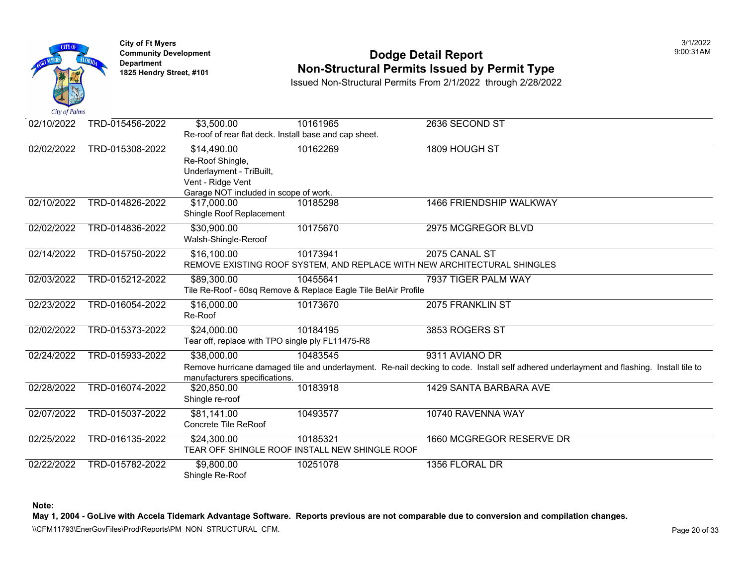

### **Community Development Community Development Community Development 1825 Non-Structural Permits Issued by Permit Type**

Issued Non-Structural Permits From 2/1/2022 through 2/28/2022

| $\mathcal{L}$ as $\mathcal{L}$ $\mathcal{L}$ $\mathcal{L}$ $\mathcal{L}$ $\mathcal{L}$ $\mathcal{L}$ $\mathcal{L}$ $\mathcal{L}$ $\mathcal{L}$ $\mathcal{L}$ $\mathcal{L}$ $\mathcal{L}$ $\mathcal{L}$ $\mathcal{L}$ $\mathcal{L}$ $\mathcal{L}$ $\mathcal{L}$ $\mathcal{L}$ $\mathcal{L}$ $\mathcal{L}$ $\mathcal{L}$ $\mathcal{L}$ $\mathcal{L}$ $\$ |                 |                                                        |                                                                |                                                                                                       |
|--------------------------------------------------------------------------------------------------------------------------------------------------------------------------------------------------------------------------------------------------------------------------------------------------------------------------------------------------------|-----------------|--------------------------------------------------------|----------------------------------------------------------------|-------------------------------------------------------------------------------------------------------|
| 02/10/2022                                                                                                                                                                                                                                                                                                                                             | TRD-015456-2022 | \$3,500.00                                             | 10161965                                                       | 2636 SECOND ST                                                                                        |
|                                                                                                                                                                                                                                                                                                                                                        |                 | Re-roof of rear flat deck. Install base and cap sheet. |                                                                |                                                                                                       |
| 02/02/2022                                                                                                                                                                                                                                                                                                                                             | TRD-015308-2022 | \$14,490.00                                            | 10162269                                                       | 1809 HOUGH ST                                                                                         |
|                                                                                                                                                                                                                                                                                                                                                        |                 | Re-Roof Shingle,                                       |                                                                |                                                                                                       |
|                                                                                                                                                                                                                                                                                                                                                        |                 | Underlayment - TriBuilt,                               |                                                                |                                                                                                       |
|                                                                                                                                                                                                                                                                                                                                                        |                 | Vent - Ridge Vent                                      |                                                                |                                                                                                       |
|                                                                                                                                                                                                                                                                                                                                                        |                 | Garage NOT included in scope of work.                  |                                                                |                                                                                                       |
| 02/10/2022                                                                                                                                                                                                                                                                                                                                             | TRD-014826-2022 | \$17,000.00                                            | 10185298                                                       | 1466 FRIENDSHIP WALKWAY                                                                               |
|                                                                                                                                                                                                                                                                                                                                                        |                 | Shingle Roof Replacement                               |                                                                |                                                                                                       |
| 02/02/2022                                                                                                                                                                                                                                                                                                                                             | TRD-014836-2022 | \$30,900.00                                            | 10175670                                                       | 2975 MCGREGOR BLVD                                                                                    |
|                                                                                                                                                                                                                                                                                                                                                        |                 | Walsh-Shingle-Reroof                                   |                                                                |                                                                                                       |
| 02/14/2022                                                                                                                                                                                                                                                                                                                                             | TRD-015750-2022 | \$16,100.00                                            | 10173941                                                       | 2075 CANAL ST                                                                                         |
|                                                                                                                                                                                                                                                                                                                                                        |                 |                                                        |                                                                | REMOVE EXISTING ROOF SYSTEM, AND REPLACE WITH NEW ARCHITECTURAL SHINGLES                              |
| 02/03/2022                                                                                                                                                                                                                                                                                                                                             | TRD-015212-2022 | \$89,300.00                                            | 10455641                                                       | 7937 TIGER PALM WAY                                                                                   |
|                                                                                                                                                                                                                                                                                                                                                        |                 |                                                        | Tile Re-Roof - 60sq Remove & Replace Eagle Tile BelAir Profile |                                                                                                       |
| 02/23/2022                                                                                                                                                                                                                                                                                                                                             | TRD-016054-2022 | \$16,000.00                                            | 10173670                                                       | 2075 FRANKLIN ST                                                                                      |
|                                                                                                                                                                                                                                                                                                                                                        |                 | Re-Roof                                                |                                                                |                                                                                                       |
| 02/02/2022                                                                                                                                                                                                                                                                                                                                             | TRD-015373-2022 | \$24,000.00                                            | 10184195                                                       | 3853 ROGERS ST                                                                                        |
|                                                                                                                                                                                                                                                                                                                                                        |                 | Tear off, replace with TPO single ply FL11475-R8       |                                                                |                                                                                                       |
| 02/24/2022                                                                                                                                                                                                                                                                                                                                             | TRD-015933-2022 | \$38,000.00                                            | 10483545                                                       | 9311 AVIANO DR                                                                                        |
|                                                                                                                                                                                                                                                                                                                                                        |                 |                                                        |                                                                | Remove hurricane damaged tile and underlayment. Re-nail decking to code. Install self adhered underla |
|                                                                                                                                                                                                                                                                                                                                                        |                 | manufacturers specifications.                          |                                                                |                                                                                                       |
| 02/28/2022                                                                                                                                                                                                                                                                                                                                             | TRD-016074-2022 | \$20,850.00                                            | 10183918                                                       | 1429 SANTA BARBARA AVE                                                                                |
|                                                                                                                                                                                                                                                                                                                                                        |                 | Shingle re-roof                                        |                                                                |                                                                                                       |
| 02/07/2022                                                                                                                                                                                                                                                                                                                                             | TRD-015037-2022 | \$81,141.00                                            | 10493577                                                       | 10740 RAVENNA WAY                                                                                     |
|                                                                                                                                                                                                                                                                                                                                                        |                 | Concrete Tile ReRoof                                   |                                                                |                                                                                                       |
| 02/25/2022                                                                                                                                                                                                                                                                                                                                             | TRD-016135-2022 | \$24,300.00                                            | 10185321                                                       | 1660 MCGREGOR RESERVE DR                                                                              |
|                                                                                                                                                                                                                                                                                                                                                        |                 |                                                        | TEAR OFF SHINGLE ROOF INSTALL NEW SHINGLE ROOF                 |                                                                                                       |
| 02/22/2022                                                                                                                                                                                                                                                                                                                                             | TRD-015782-2022 | \$9,800.00                                             | 10251078                                                       | 1356 FLORAL DR                                                                                        |
|                                                                                                                                                                                                                                                                                                                                                        |                 | Shingle Re-Roof                                        |                                                                |                                                                                                       |

**Note:**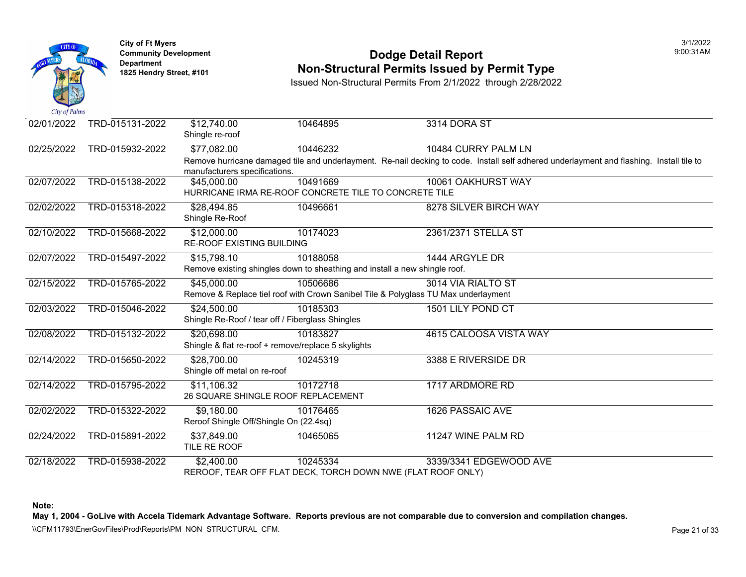

#### **Community Development Community Development Community Development Non-Structural Permits Issued by Permit Type**

Issued Non-Structural Permits From 2/1/2022 through 2/28/2022

| 02/01/2022 | TRD-015131-2022 | \$12,740.00<br>Shingle re-roof                                             | 10464895 | 3314 DORA ST                                                                                          |
|------------|-----------------|----------------------------------------------------------------------------|----------|-------------------------------------------------------------------------------------------------------|
| 02/25/2022 | TRD-015932-2022 | \$77,082.00                                                                | 10446232 | 10484 CURRY PALM LN                                                                                   |
|            |                 | manufacturers specifications.                                              |          | Remove hurricane damaged tile and underlayment. Re-nail decking to code. Install self adhered underla |
| 02/07/2022 | TRD-015138-2022 | \$45,000.00                                                                | 10491669 | 10061 OAKHURST WAY                                                                                    |
|            |                 | HURRICANE IRMA RE-ROOF CONCRETE TILE TO CONCRETE TILE                      |          |                                                                                                       |
| 02/02/2022 | TRD-015318-2022 | \$28,494.85                                                                | 10496661 | 8278 SILVER BIRCH WAY                                                                                 |
|            |                 | Shingle Re-Roof                                                            |          |                                                                                                       |
| 02/10/2022 | TRD-015668-2022 | \$12,000.00                                                                | 10174023 | 2361/2371 STELLA ST                                                                                   |
|            |                 | <b>RE-ROOF EXISTING BUILDING</b>                                           |          |                                                                                                       |
| 02/07/2022 | TRD-015497-2022 | \$15,798.10                                                                | 10188058 | 1444 ARGYLE DR                                                                                        |
|            |                 | Remove existing shingles down to sheathing and install a new shingle roof. |          |                                                                                                       |
| 02/15/2022 | TRD-015765-2022 | \$45,000.00                                                                | 10506686 | 3014 VIA RIALTO ST                                                                                    |
|            |                 |                                                                            |          | Remove & Replace tiel roof with Crown Sanibel Tile & Polyglass TU Max underlayment                    |
| 02/03/2022 | TRD-015046-2022 | \$24,500.00                                                                | 10185303 | 1501 LILY POND CT                                                                                     |
|            |                 | Shingle Re-Roof / tear off / Fiberglass Shingles                           |          |                                                                                                       |
| 02/08/2022 | TRD-015132-2022 | \$20,698,00                                                                | 10183827 | 4615 CALOOSA VISTA WAY                                                                                |
|            |                 | Shingle & flat re-roof + remove/replace 5 skylights                        |          |                                                                                                       |
| 02/14/2022 | TRD-015650-2022 | \$28,700.00                                                                | 10245319 | 3388 E RIVERSIDE DR                                                                                   |
|            |                 | Shingle off metal on re-roof                                               |          |                                                                                                       |
| 02/14/2022 | TRD-015795-2022 | \$11,106.32                                                                | 10172718 | 1717 ARDMORE RD                                                                                       |
|            |                 | 26 SQUARE SHINGLE ROOF REPLACEMENT                                         |          |                                                                                                       |
| 02/02/2022 | TRD-015322-2022 | \$9,180.00                                                                 | 10176465 | <b>1626 PASSAIC AVE</b>                                                                               |
|            |                 | Reroof Shingle Off/Shingle On (22.4sq)                                     |          |                                                                                                       |
| 02/24/2022 | TRD-015891-2022 | \$37,849.00                                                                | 10465065 | 11247 WINE PALM RD                                                                                    |
|            |                 | TILE RE ROOF                                                               |          |                                                                                                       |
| 02/18/2022 | TRD-015938-2022 | \$2,400.00                                                                 | 10245334 | 3339/3341 EDGEWOOD AVE                                                                                |
|            |                 |                                                                            |          | REROOF, TEAR OFF FLAT DECK, TORCH DOWN NWE (FLAT ROOF ONLY)                                           |

**Note:**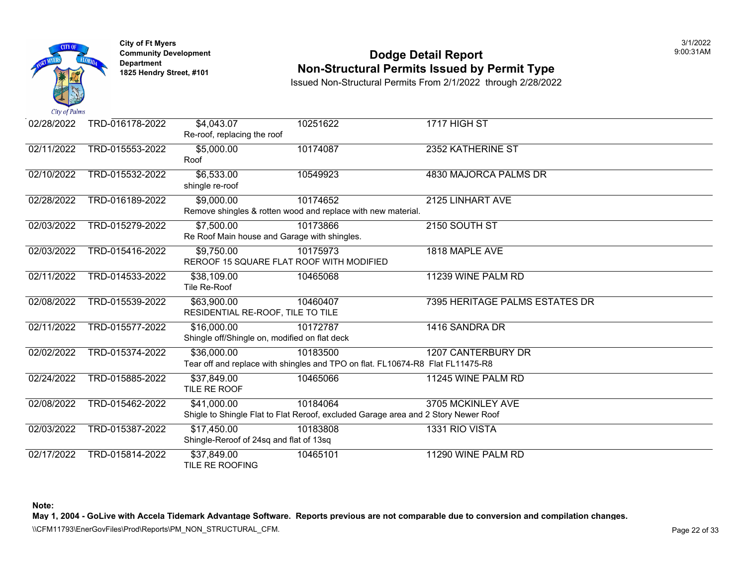

### **Community Development Community Development Community Development 1825 Non-Structural Permits Issued by Permit Type**

Issued Non-Structural Permits From 2/1/2022 through 2/28/2022

| 02/28/2022 | TRD-016178-2022 | \$4,043.07<br>Re-roof, replacing the roof                              | 10251622                                                                                       | 1717 HIGH ST                |
|------------|-----------------|------------------------------------------------------------------------|------------------------------------------------------------------------------------------------|-----------------------------|
| 02/11/2022 | TRD-015553-2022 | \$5,000.00<br>Roof                                                     | 10174087                                                                                       | 2352 KATHERINE ST           |
| 02/10/2022 | TRD-015532-2022 | \$6,533.00<br>shingle re-roof                                          | 10549923                                                                                       | 4830 MAJORCA PALMS DR       |
| 02/28/2022 | TRD-016189-2022 | \$9,000.00                                                             | 10174652<br>Remove shingles & rotten wood and replace with new material.                       | 2125 LINHART AVE            |
| 02/03/2022 | TRD-015279-2022 | $\overline{$7,500.00}$<br>Re Roof Main house and Garage with shingles. | 10173866                                                                                       | 2150 SOUTH ST               |
| 02/03/2022 | TRD-015416-2022 | $\overline{$9,750.00}$<br>REROOF 15 SQUARE FLAT ROOF WITH MODIFIED     | 10175973                                                                                       | 1818 MAPLE AVE              |
| 02/11/2022 | TRD-014533-2022 | \$38,109.00<br>Tile Re-Roof                                            | 10465068                                                                                       | 11239 WINE PALM RD          |
| 02/08/2022 | TRD-015539-2022 | \$63,900.00<br>RESIDENTIAL RE-ROOF, TILE TO TILE                       | 10460407                                                                                       | 7395 HERITAGE PALMS ESTATES |
| 02/11/2022 | TRD-015577-2022 | \$16,000.00<br>Shingle off/Shingle on, modified on flat deck           | 10172787                                                                                       | 1416 SANDRA DR              |
| 02/02/2022 | TRD-015374-2022 | \$36,000.00                                                            | 10183500<br>Tear off and replace with shingles and TPO on flat. FL10674-R8 Flat FL11475-R8     | <b>1207 CANTERBURY DR</b>   |
| 02/24/2022 | TRD-015885-2022 | \$37,849.00<br>TILE RE ROOF                                            | 10465066                                                                                       | 11245 WINE PALM RD          |
| 02/08/2022 | TRD-015462-2022 | \$41,000.00                                                            | 10184064<br>Shigle to Shingle Flat to Flat Reroof, excluded Garage area and 2 Story Newer Roof | 3705 MCKINLEY AVE           |
| 02/03/2022 | TRD-015387-2022 | \$17,450.00<br>Shingle-Reroof of 24sq and flat of 13sq                 | 10183808                                                                                       | 1331 RIO VISTA              |
| 02/17/2022 | TRD-015814-2022 | \$37,849.00<br>TILE RE ROOFING                                         | 10465101                                                                                       | 11290 WINE PALM RD          |

**Note:**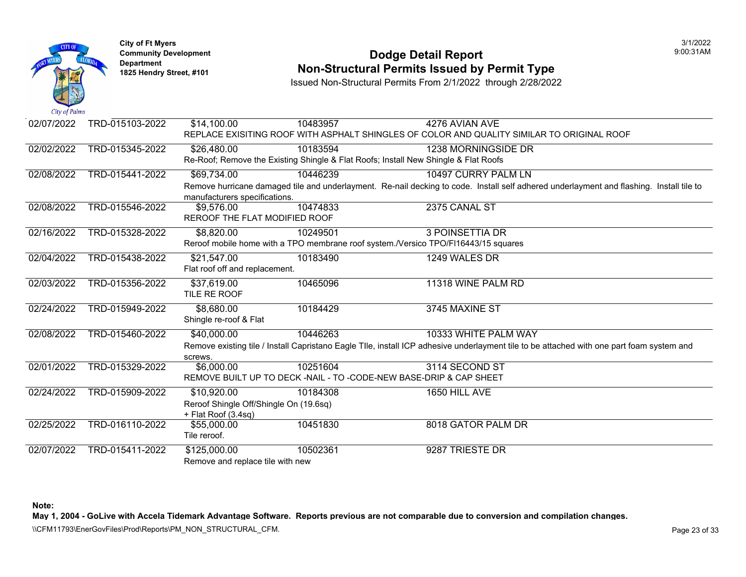

#### **Community Development Dodge Detail Report** 9:00:31AM **1825 Non-Structural Permits Issued by Permit Type**

Issued Non-Structural Permits From 2/1/2022 through 2/28/2022

| 02/07/2022 | TRD-015103-2022 | \$14,100.00                            | 10483957 | 4276 AVIAN AVE                                                                                                                            |  |
|------------|-----------------|----------------------------------------|----------|-------------------------------------------------------------------------------------------------------------------------------------------|--|
|            |                 |                                        |          | REPLACE EXISITING ROOF WITH ASPHALT SHINGLES OF COLOR AND QUALITY SIMILAR TO ORIGINAL ROOF                                                |  |
| 02/02/2022 | TRD-015345-2022 | \$26,480.00                            | 10183594 | 1238 MORNINGSIDE DR                                                                                                                       |  |
|            |                 |                                        |          | Re-Roof; Remove the Existing Shingle & Flat Roofs; Install New Shingle & Flat Roofs                                                       |  |
| 02/08/2022 | TRD-015441-2022 | \$69,734.00                            | 10446239 | 10497 CURRY PALM LN                                                                                                                       |  |
|            |                 |                                        |          | Remove hurricane damaged tile and underlayment. Re-nail decking to code. Install self adhered underlayment and flashing. Install tile to  |  |
|            |                 | manufacturers specifications.          |          |                                                                                                                                           |  |
| 02/08/2022 | TRD-015546-2022 | \$9,576.00                             | 10474833 | 2375 CANAL ST                                                                                                                             |  |
|            |                 | REROOF THE FLAT MODIFIED ROOF          |          |                                                                                                                                           |  |
| 02/16/2022 | TRD-015328-2022 | \$8,820.00                             | 10249501 | <b>3 POINSETTIA DR</b>                                                                                                                    |  |
|            |                 |                                        |          | Reroof mobile home with a TPO membrane roof system./Versico TPO/FI16443/15 squares                                                        |  |
| 02/04/2022 | TRD-015438-2022 | \$21,547.00                            | 10183490 | 1249 WALES DR                                                                                                                             |  |
|            |                 | Flat roof off and replacement.         |          |                                                                                                                                           |  |
| 02/03/2022 | TRD-015356-2022 | \$37,619.00                            | 10465096 | 11318 WINE PALM RD                                                                                                                        |  |
|            |                 | TILE RE ROOF                           |          |                                                                                                                                           |  |
| 02/24/2022 | TRD-015949-2022 | \$8,680.00                             | 10184429 | 3745 MAXINE ST                                                                                                                            |  |
|            |                 | Shingle re-roof & Flat                 |          |                                                                                                                                           |  |
| 02/08/2022 | TRD-015460-2022 | \$40,000.00                            | 10446263 | 10333 WHITE PALM WAY                                                                                                                      |  |
|            |                 |                                        |          | Remove existing tile / Install Capristano Eagle Tlle, install ICP adhesive underlayment tile to be attached with one part foam system and |  |
|            |                 | screws.                                |          |                                                                                                                                           |  |
| 02/01/2022 | TRD-015329-2022 | \$6,000.00                             | 10251604 | 3114 SECOND ST                                                                                                                            |  |
|            |                 |                                        |          | REMOVE BUILT UP TO DECK -NAIL - TO -CODE-NEW BASE-DRIP & CAP SHEET                                                                        |  |
| 02/24/2022 | TRD-015909-2022 | \$10,920.00                            | 10184308 | 1650 HILL AVE                                                                                                                             |  |
|            |                 | Reroof Shingle Off/Shingle On (19.6sq) |          |                                                                                                                                           |  |
|            |                 | + Flat Roof (3.4sq)                    |          |                                                                                                                                           |  |
| 02/25/2022 | TRD-016110-2022 | \$55,000.00                            | 10451830 | 8018 GATOR PALM DR                                                                                                                        |  |
|            |                 | Tile reroof.                           |          |                                                                                                                                           |  |
| 02/07/2022 | TRD-015411-2022 | \$125,000.00                           | 10502361 | 9287 TRIESTE DR                                                                                                                           |  |
|            |                 | Remove and replace tile with new       |          |                                                                                                                                           |  |

**Note:** 

**May 1, 2004 - GoLive with Accela Tidemark Advantage Software. Reports previous are not comparable due to conversion and compilation changes.** 

\\CFM11793\EnerGovFiles\Prod\Reports\PM\_NON\_STRUCTURAL\_CFM.<br>Page 23 of 33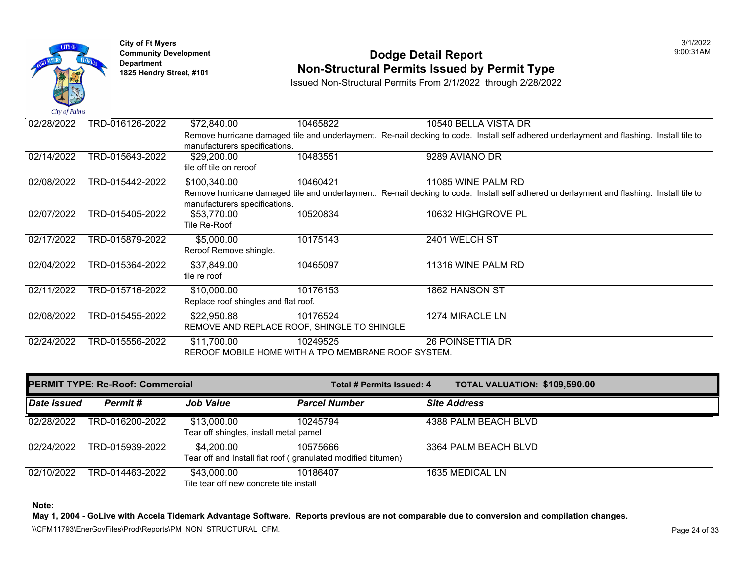

# **Community Development 1825 Hendright Community Development Department Department Am Dodge Detail Report Department Type 1825 Hendry Street, #101 <b>Non-Structural Permits Issued by Permit Type**

Issued Non-Structural Permits From 2/1/2022 through 2/28/2022

| 02/28/2022 | TRD-016126-2022 | \$72,840.00                                         | 10465822 | 10540 BELLA VISTA DR                                                                                  |
|------------|-----------------|-----------------------------------------------------|----------|-------------------------------------------------------------------------------------------------------|
|            |                 | manufacturers specifications.                       |          | Remove hurricane damaged tile and underlayment. Re-nail decking to code. Install self adhered underla |
| 02/14/2022 | TRD-015643-2022 | \$29,200.00                                         | 10483551 | 9289 AVIANO DR                                                                                        |
|            |                 | tile off tile on reroof                             |          |                                                                                                       |
| 02/08/2022 | TRD-015442-2022 | \$100,340.00                                        | 10460421 | 11085 WINE PALM RD                                                                                    |
|            |                 | manufacturers specifications.                       |          | Remove hurricane damaged tile and underlayment. Re-nail decking to code. Install self adhered underla |
| 02/07/2022 | TRD-015405-2022 | \$53,770.00                                         | 10520834 | 10632 HIGHGROVE PL                                                                                    |
|            |                 | Tile Re-Roof                                        |          |                                                                                                       |
| 02/17/2022 | TRD-015879-2022 | \$5,000.00                                          | 10175143 | 2401 WELCH ST                                                                                         |
|            |                 | Reroof Remove shingle.                              |          |                                                                                                       |
| 02/04/2022 | TRD-015364-2022 | \$37,849.00                                         | 10465097 | 11316 WINE PALM RD                                                                                    |
|            |                 | tile re roof                                        |          |                                                                                                       |
| 02/11/2022 | TRD-015716-2022 | \$10,000.00                                         | 10176153 | 1862 HANSON ST                                                                                        |
|            |                 | Replace roof shingles and flat roof.                |          |                                                                                                       |
| 02/08/2022 | TRD-015455-2022 | \$22,950.88                                         | 10176524 | 1274 MIRACLE LN                                                                                       |
|            |                 | REMOVE AND REPLACE ROOF, SHINGLE TO SHINGLE         |          |                                                                                                       |
| 02/24/2022 | TRD-015556-2022 | \$11,700.00                                         | 10249525 | <b>26 POINSETTIA DR</b>                                                                               |
|            |                 | REROOF MOBILE HOME WITH A TPO MEMBRANE ROOF SYSTEM. |          |                                                                                                       |
|            |                 |                                                     |          |                                                                                                       |

|             | <b>PERMIT TYPE: Re-Roof: Commercial</b> |                                                        | Total # Permits Issued: 4                                                | <b>TOTAL VALUATION: \$109,59</b> |  |
|-------------|-----------------------------------------|--------------------------------------------------------|--------------------------------------------------------------------------|----------------------------------|--|
| Date Issued | Permit #                                | <b>Job Value</b>                                       | <b>Parcel Number</b>                                                     | <b>Site Address</b>              |  |
| 02/28/2022  | TRD-016200-2022                         | \$13,000.00<br>Tear off shingles, install metal pamel  | 10245794                                                                 | 4388 PALM BEACH BLVD             |  |
| 02/24/2022  | TRD-015939-2022                         | \$4,200.00                                             | 10575666<br>Tear off and Install flat roof (granulated modified bitumen) | 3364 PALM BEACH BLVD             |  |
| 02/10/2022  | TRD-014463-2022                         | \$43,000.00<br>Tile tear off new concrete tile install | 10186407                                                                 | 1635 MEDICAL LN                  |  |

**Note:**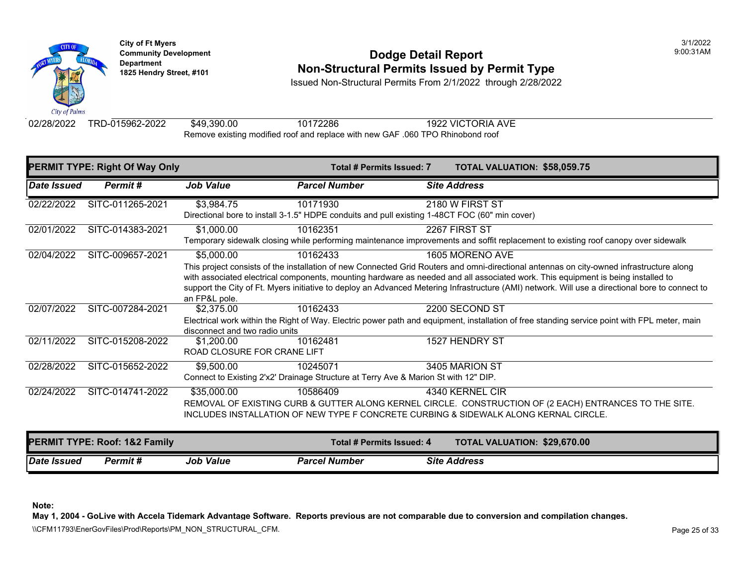

# **Community Development 1825 Hendright Community Development Department Department Am Dodge Detail Report Department Type 1825 Hendry Street, #101 <b>Non-Structural Permits Issued by Permit Type**

Issued Non-Structural Permits From 2/1/2022 through 2/28/2022

02/28/2022 TRD-015962-2022 \$49,390.00 10172286 1922 VICTORIA AVE Remove existing modified roof and replace with new GAF .060 TPO Rhinobond roof

|                           | <b>PERMIT TYPE: Right Of Way Only</b> |                                | Total # Permits Issued: 7                                                                                    | <b>TOTAL VALUATION: \$58,059</b> |  |
|---------------------------|---------------------------------------|--------------------------------|--------------------------------------------------------------------------------------------------------------|----------------------------------|--|
| <i><b>Date Issued</b></i> | Permit#                               | <b>Job Value</b>               | <b>Parcel Number</b>                                                                                         | <b>Site Address</b>              |  |
| 02/22/2022                | SITC-011265-2021                      | \$3,984.75                     | 10171930                                                                                                     | 2180 W FIRST ST                  |  |
|                           |                                       |                                | Directional bore to install 3-1.5" HDPE conduits and pull existing 1-48CT FOC (60" min cover)                |                                  |  |
| 02/01/2022                | SITC-014383-2021                      | \$1,000.00                     | 10162351                                                                                                     | 2267 FIRST ST                    |  |
|                           |                                       |                                | Temporary sidewalk closing while performing maintenance improvements and soffit replacement to existi        |                                  |  |
| 02/04/2022                | SITC-009657-2021                      | \$5,000.00                     | 10162433                                                                                                     | 1605 MORENO AVE                  |  |
|                           |                                       |                                | This project consists of the installation of new Connected Grid Routers and omni-directional antennas on     |                                  |  |
|                           |                                       |                                | with associated electrical components, mounting hardware as needed and all associated work. This equip       |                                  |  |
|                           |                                       |                                | support the City of Ft. Myers initiative to deploy an Advanced Metering Infrastructure (AMI) network. Will i |                                  |  |
|                           |                                       | an FP&L pole.                  |                                                                                                              |                                  |  |
| 02/07/2022                | SITC-007284-2021                      | \$2,375.00                     | 10162433                                                                                                     | 2200 SECOND ST                   |  |
|                           |                                       |                                | Electrical work within the Right of Way. Electric power path and equipment, installation of free standing so |                                  |  |
|                           |                                       | disconnect and two radio units |                                                                                                              |                                  |  |
| 02/11/2022                | SITC-015208-2022                      | \$1,200,00                     | 10162481                                                                                                     | 1527 HENDRY ST                   |  |
|                           |                                       | ROAD CLOSURE FOR CRANE LIFT    |                                                                                                              |                                  |  |
| 02/28/2022                | SITC-015652-2022                      | \$9,500.00                     | 10245071                                                                                                     | 3405 MARION ST                   |  |
|                           |                                       |                                | Connect to Existing 2'x2' Drainage Structure at Terry Ave & Marion St with 12" DIP.                          |                                  |  |
| 02/24/2022                | SITC-014741-2022                      | \$35,000.00                    | 10586409                                                                                                     | 4340 KERNEL CIR                  |  |
|                           |                                       |                                | REMOVAL OF EXISTING CURB & GUTTER ALONG KERNEL CIRCLE. CONSTRUCTION OF (2 EACH                               |                                  |  |
|                           |                                       |                                | INCLUDES INSTALLATION OF NEW TYPE F CONCRETE CURBING & SIDEWALK ALONG KERNAL (                               |                                  |  |
|                           |                                       |                                |                                                                                                              |                                  |  |
|                           | PERMIT TYPE: Roof: 1&2 Family         |                                | Total # Permits Issued: 4                                                                                    | <b>TOTAL VALUATION: \$29,670</b> |  |
| Date Issued               | <b>Permit#</b>                        | <b>Job Value</b>               | <b>Parcel Number</b>                                                                                         | <b>Site Address</b>              |  |

**Note:**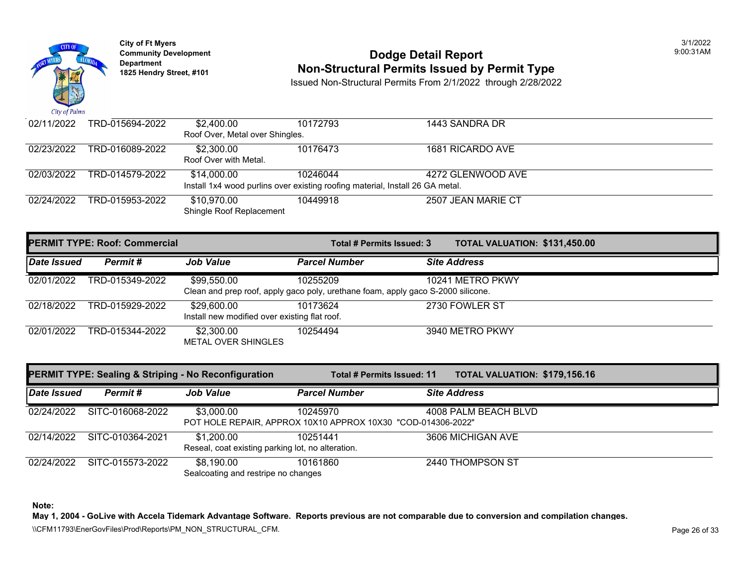

# **Community Development 1825 Hendright Community Development Department Department Am Dodge Detail Report Department Type 1825 Hendry Street, #101 <b>Non-Structural Permits Issued by Permit Type**

Issued Non-Structural Permits From 2/1/2022 through 2/28/2022

| 02/11/2022 | TRD-015694-2022                                                               | \$2,400.00                      | 10172793 | 1443 SANDRA DR     |  |  |  |  |
|------------|-------------------------------------------------------------------------------|---------------------------------|----------|--------------------|--|--|--|--|
|            |                                                                               | Roof Over, Metal over Shingles. |          |                    |  |  |  |  |
| 02/23/2022 | TRD-016089-2022                                                               | \$2,300.00                      | 10176473 | 1681 RICARDO AVE   |  |  |  |  |
|            |                                                                               | Roof Over with Metal.           |          |                    |  |  |  |  |
| 02/03/2022 | TRD-014579-2022                                                               | \$14,000.00                     | 10246044 | 4272 GLENWOOD AVE  |  |  |  |  |
|            | Install 1x4 wood purlins over existing roofing material, Install 26 GA metal. |                                 |          |                    |  |  |  |  |
| 02/24/2022 | TRD-015953-2022                                                               | \$10,970.00                     | 10449918 | 2507 JEAN MARIE CT |  |  |  |  |
|            |                                                                               | Shingle Roof Replacement        |          |                    |  |  |  |  |

| <b>PERMIT TYPE: Roof: Commercial</b> |                 |                                                              | Total # Permits Issued: 3                                                                    | <b>TOTAL VALUATION: \$131,45</b> |
|--------------------------------------|-----------------|--------------------------------------------------------------|----------------------------------------------------------------------------------------------|----------------------------------|
| <b>Date Issued</b>                   | Permit#         | <b>Job Value</b>                                             | <b>Parcel Number</b>                                                                         | <b>Site Address</b>              |
| 02/01/2022                           | TRD-015349-2022 | \$99,550.00                                                  | 10255209<br>Clean and prep roof, apply gaco poly, urethane foam, apply gaco S-2000 silicone. | 10241 METRO PKWY                 |
| 02/18/2022                           | TRD-015929-2022 | \$29,600.00<br>Install new modified over existing flat roof. | 10173624                                                                                     | 2730 FOWLER ST                   |
| 02/01/2022                           | TRD-015344-2022 | \$2,300.00<br><b>METAL OVER SHINGLES</b>                     | 10254494                                                                                     | 3940 METRO PKWY                  |

| <b>PERMIT TYPE: Sealing &amp; Striping - No Reconfiguration</b> |                  |                                                                 | Total # Permits Issued: 11                                               |  | <b>TOTAL VALUATION: \$179,15</b> |  |
|-----------------------------------------------------------------|------------------|-----------------------------------------------------------------|--------------------------------------------------------------------------|--|----------------------------------|--|
| Date Issued                                                     | Permit #         | <b>Job Value</b>                                                | <b>Parcel Number</b>                                                     |  | <b>Site Address</b>              |  |
| 02/24/2022                                                      | SITC-016068-2022 | \$3,000.00                                                      | 10245970<br>POT HOLE REPAIR, APPROX 10X10 APPROX 10X30 "COD-014306-2022" |  | 4008 PALM BEACH BLVD             |  |
| 02/14/2022                                                      | SITC-010364-2021 | \$1,200.00<br>Reseal, coat existing parking lot, no alteration. | 10251441                                                                 |  | 3606 MICHIGAN AVE                |  |
| 02/24/2022                                                      | SITC-015573-2022 | \$8,190.00<br>Sealcoating and restripe no changes               | 10161860                                                                 |  | 2440 THOMPSON ST                 |  |

**Note:**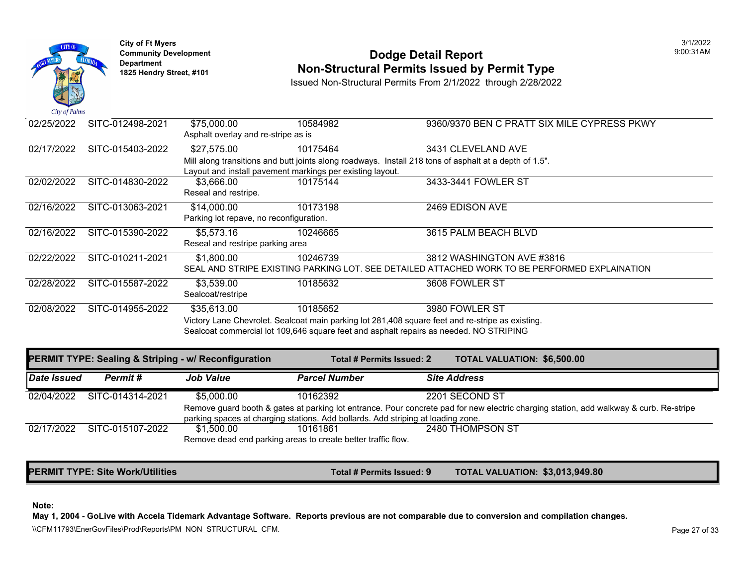

# **Community Development 1825 Hendright Community Development Department Department Am Dodge Detail Report Department Type 1825 Hendry Street, #101 <b>Non-Structural Permits Issued by Permit Type**

Issued Non-Structural Permits From 2/1/2022 through 2/28/2022

| 02/25/2022 | SITC-012498-2021 | \$75,000.00                             | 10584982                                                  | 9360/9370 BEN C PRATT SIX MILE                                                                         |
|------------|------------------|-----------------------------------------|-----------------------------------------------------------|--------------------------------------------------------------------------------------------------------|
|            |                  | Asphalt overlay and re-stripe as is     |                                                           |                                                                                                        |
| 02/17/2022 | SITC-015403-2022 | \$27,575.00                             | 10175464                                                  | 3431 CLEVELAND AVE                                                                                     |
|            |                  |                                         |                                                           | Mill along transitions and butt joints along roadways. Install 218 tons of asphalt at a depth of 1.5". |
|            |                  |                                         | Layout and install pavement markings per existing layout. |                                                                                                        |
| 02/02/2022 | SITC-014830-2022 | \$3,666.00                              | 10175144                                                  | 3433-3441 FOWLER ST                                                                                    |
|            |                  | Reseal and restripe.                    |                                                           |                                                                                                        |
| 02/16/2022 | SITC-013063-2021 | \$14,000.00                             | 10173198                                                  | 2469 EDISON AVE                                                                                        |
|            |                  | Parking lot repave, no reconfiguration. |                                                           |                                                                                                        |
| 02/16/2022 | SITC-015390-2022 | \$5,573.16                              | 10246665                                                  | 3615 PALM BEACH BLVD                                                                                   |
|            |                  | Reseal and restripe parking area        |                                                           |                                                                                                        |
| 02/22/2022 | SITC-010211-2021 | \$1,800.00                              | 10246739                                                  | 3812 WASHINGTON AVE #3816                                                                              |
|            |                  |                                         |                                                           | SEAL AND STRIPE EXISTING PARKING LOT. SEE DETAILED ATTACHED WORK TO BE PERFORMI                        |
| 02/28/2022 | SITC-015587-2022 | \$3,539.00                              | 10185632                                                  | 3608 FOWLER ST                                                                                         |
|            |                  | Sealcoat/restripe                       |                                                           |                                                                                                        |
| 02/08/2022 | SITC-014955-2022 | \$35,613.00                             | 10185652                                                  | 3980 FOWLER ST                                                                                         |
|            |                  |                                         |                                                           | Victory Lane Chevrolet. Sealcoat main parking lot 281,408 square feet and re-stripe as existing.       |
|            |                  |                                         |                                                           | Sealcoat commercial lot 109,646 square feet and asphalt repairs as needed. NO STRIPING                 |

|             |                  | PERMIT TYPE: Sealing & Striping - w/ Reconfiguration | Total # Permits Issued: 2                                                                               | <b>TOTAL VALUATION: \$6,500.0</b> |  |
|-------------|------------------|------------------------------------------------------|---------------------------------------------------------------------------------------------------------|-----------------------------------|--|
| Date Issued | Permit#          | <b>Job Value</b>                                     | <b>Parcel Number</b>                                                                                    | <b>Site Address</b>               |  |
| 02/04/2022  | SITC-014314-2021 | \$5,000,00                                           | 10162392                                                                                                | 2201 SECOND ST                    |  |
|             |                  |                                                      | Remove guard booth & gates at parking lot entrance. Pour concrete pad for new electric charging station |                                   |  |
|             |                  |                                                      | parking spaces at charging stations. Add bollards. Add striping at loading zone.                        |                                   |  |
| 02/17/2022  | SITC-015107-2022 | \$1.500.00                                           | 10161861                                                                                                | 2480 THOMPSON ST                  |  |
|             |                  |                                                      | Remove dead end parking areas to create better traffic flow.                                            |                                   |  |
|             |                  |                                                      |                                                                                                         |                                   |  |

**PERMIT TYPE: Site Work/Utilities Total # Permits Issued: 9 TOTAL VALUATION: \$3,013,949.80** 

#### **Note:**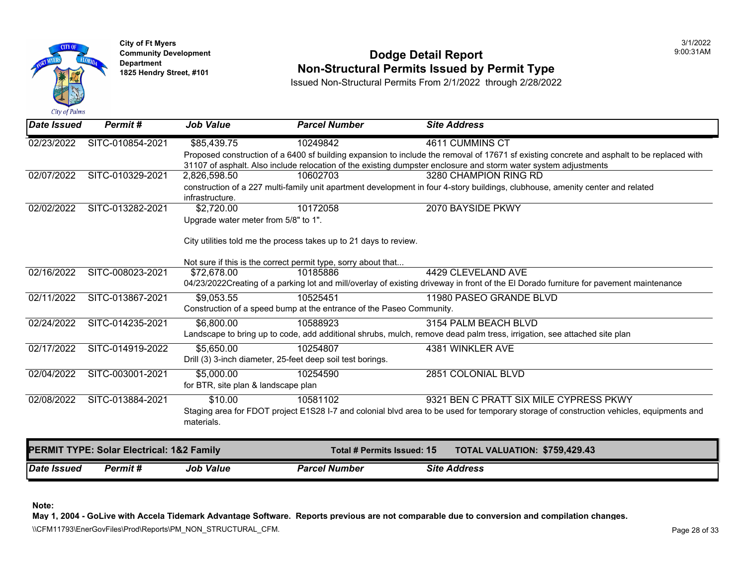

### **Community Development 1825 Community Development 1825 Hendry Street, #101 1825 Hendry Street, #101 1825 Hendry Street, #101 1825 Hendry Street, #101 1825 Hendry Street, #101 <b>Non-Structural Permits Issued by Permit Type**

Issued Non-Structural Permits From 2/1/2022 through 2/28/2022

| <b>IDate Issued</b> | Permit#                                   | <b>Job Value</b>                     | <b>Parcel Number</b>                                                                                                           | <b>Site Address</b> |                                                                                                                                            |  |  |  |
|---------------------|-------------------------------------------|--------------------------------------|--------------------------------------------------------------------------------------------------------------------------------|---------------------|--------------------------------------------------------------------------------------------------------------------------------------------|--|--|--|
| 02/23/2022          | SITC-010854-2021                          | \$85,439.75                          | 10249842                                                                                                                       |                     | 4611 CUMMINS CT                                                                                                                            |  |  |  |
|                     |                                           |                                      |                                                                                                                                |                     | Proposed construction of a 6400 sf building expansion to include the removal of 17671 sf existing concrete and asphalt to be replaced with |  |  |  |
|                     |                                           |                                      |                                                                                                                                |                     | 31107 of asphalt. Also include relocation of the existing dumpster enclosure and storm water system adjustments                            |  |  |  |
| 02/07/2022          | SITC-010329-2021                          | 2,826,598.50                         | 10602703                                                                                                                       |                     | 3280 CHAMPION RING RD                                                                                                                      |  |  |  |
|                     |                                           |                                      | construction of a 227 multi-family unit apartment development in four 4-story buildings, clubhouse, amenity center and related |                     |                                                                                                                                            |  |  |  |
|                     |                                           | infrastructure.                      |                                                                                                                                |                     |                                                                                                                                            |  |  |  |
| 02/02/2022          | SITC-013282-2021                          | \$2,720.00                           | 10172058                                                                                                                       |                     | 2070 BAYSIDE PKWY                                                                                                                          |  |  |  |
|                     |                                           | Upgrade water meter from 5/8" to 1". |                                                                                                                                |                     |                                                                                                                                            |  |  |  |
|                     |                                           |                                      | City utilities told me the process takes up to 21 days to review.                                                              |                     |                                                                                                                                            |  |  |  |
|                     |                                           |                                      | Not sure if this is the correct permit type, sorry about that                                                                  |                     |                                                                                                                                            |  |  |  |
| 02/16/2022          | SITC-008023-2021                          | \$72,678.00                          | 10185886                                                                                                                       |                     | 4429 CLEVELAND AVE                                                                                                                         |  |  |  |
|                     |                                           |                                      |                                                                                                                                |                     | 04/23/2022Creating of a parking lot and mill/overlay of existing driveway in front of the El Dorado furniture for pavement maintenance     |  |  |  |
| 02/11/2022          | SITC-013867-2021                          | \$9,053.55                           | 10525451                                                                                                                       |                     | 11980 PASEO GRANDE BLVD                                                                                                                    |  |  |  |
|                     |                                           |                                      | Construction of a speed bump at the entrance of the Paseo Community.                                                           |                     |                                                                                                                                            |  |  |  |
| 02/24/2022          | SITC-014235-2021                          | \$6,800.00                           | 10588923                                                                                                                       |                     | 3154 PALM BEACH BLVD                                                                                                                       |  |  |  |
|                     |                                           |                                      |                                                                                                                                |                     | Landscape to bring up to code, add additional shrubs, mulch, remove dead palm tress, irrigation, see attached site plan                    |  |  |  |
| 02/17/2022          | SITC-014919-2022                          | \$5,650.00                           | 10254807                                                                                                                       |                     | 4381 WINKLER AVE                                                                                                                           |  |  |  |
|                     |                                           |                                      | Drill (3) 3-inch diameter, 25-feet deep soil test borings.                                                                     |                     |                                                                                                                                            |  |  |  |
| 02/04/2022          | SITC-003001-2021                          | \$5,000.00                           | 10254590                                                                                                                       |                     | 2851 COLONIAL BLVD                                                                                                                         |  |  |  |
|                     |                                           | for BTR, site plan & landscape plan  |                                                                                                                                |                     |                                                                                                                                            |  |  |  |
| 02/08/2022          | SITC-013884-2021                          | \$10.00                              | 10581102                                                                                                                       |                     | 9321 BEN C PRATT SIX MILE CYPRESS PKWY                                                                                                     |  |  |  |
|                     |                                           |                                      |                                                                                                                                |                     | Staging area for FDOT project E1S28 I-7 and colonial blvd area to be used for temporary storage of construction vehicles, equipments and   |  |  |  |
|                     |                                           | materials.                           |                                                                                                                                |                     |                                                                                                                                            |  |  |  |
|                     | PERMIT TYPE: Solar Electrical: 1&2 Family |                                      | Total # Permits Issued: 15                                                                                                     |                     | TOTAL VALUATION: \$759,429.43                                                                                                              |  |  |  |
| Date Issued         | Permit#                                   | <b>Job Value</b>                     | <b>Parcel Number</b>                                                                                                           | <b>Site Address</b> |                                                                                                                                            |  |  |  |

**Note:** 

**May 1, 2004 - GoLive with Accela Tidemark Advantage Software. Reports previous are not comparable due to conversion and compilation changes.** 

\\CFM11793\EnerGovFiles\Prod\Reports\PM\_NON\_STRUCTURAL\_CFM.<br>Rage 28 of 33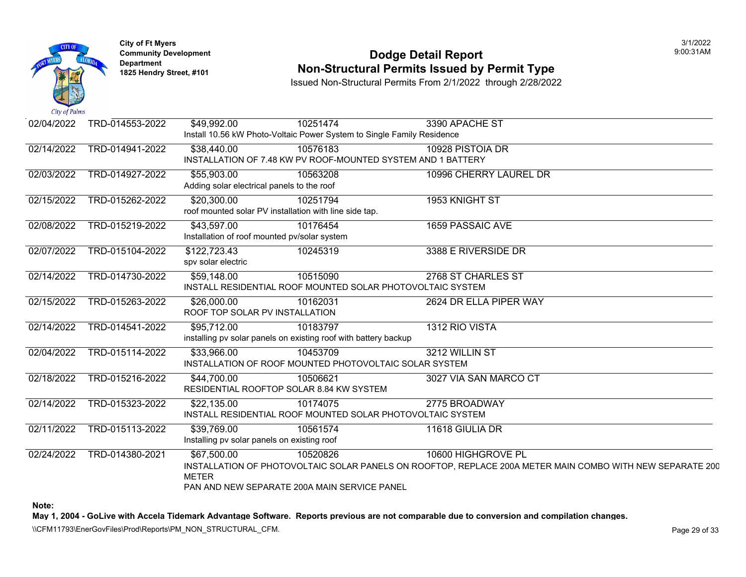

#### **Community Development Dodge Detail Report** 9:00:31AM **1825 Non-Structural Permits Issued by Permit Type**

Issued Non-Structural Permits From 2/1/2022 through 2/28/2022

| 02/04/2022 | TRD-014553-2022 | \$49,992.00                                                           | 10251474<br>Install 10.56 kW Photo-Voltaic Power System to Single Family Residence | 3390 APACHE ST                                                                                                                  |
|------------|-----------------|-----------------------------------------------------------------------|------------------------------------------------------------------------------------|---------------------------------------------------------------------------------------------------------------------------------|
| 02/14/2022 | TRD-014941-2022 | \$38,440.00                                                           | 10576183<br>INSTALLATION OF 7.48 KW PV ROOF-MOUNTED SYSTEM AND 1 BATTERY           | 10928 PISTOIA DR                                                                                                                |
| 02/03/2022 | TRD-014927-2022 | \$55,903.00<br>Adding solar electrical panels to the roof             | 10563208                                                                           | 10996 CHERRY LAUREL DR                                                                                                          |
| 02/15/2022 | TRD-015262-2022 | \$20,300.00<br>roof mounted solar PV installation with line side tap. | 10251794                                                                           | 1953 KNIGHT ST                                                                                                                  |
| 02/08/2022 | TRD-015219-2022 | \$43,597.00<br>Installation of roof mounted pv/solar system           | 10176454                                                                           | 1659 PASSAIC AVE                                                                                                                |
| 02/07/2022 | TRD-015104-2022 | \$122,723.43<br>spv solar electric                                    | 10245319                                                                           | 3388 E RIVERSIDE DR                                                                                                             |
| 02/14/2022 | TRD-014730-2022 | \$59,148.00                                                           | 10515090<br>INSTALL RESIDENTIAL ROOF MOUNTED SOLAR PHOTOVOLTAIC SYSTEM             | 2768 ST CHARLES ST                                                                                                              |
| 02/15/2022 | TRD-015263-2022 | \$26,000.00<br>ROOF TOP SOLAR PV INSTALLATION                         | 10162031                                                                           | 2624 DR ELLA PIPER WAY                                                                                                          |
| 02/14/2022 | TRD-014541-2022 | \$95,712.00                                                           | 10183797<br>installing pv solar panels on existing roof with battery backup        | 1312 RIO VISTA                                                                                                                  |
| 02/04/2022 | TRD-015114-2022 | \$33,966.00                                                           | 10453709<br>INSTALLATION OF ROOF MOUNTED PHOTOVOLTAIC SOLAR SYSTEM                 | 3212 WILLIN ST                                                                                                                  |
| 02/18/2022 | TRD-015216-2022 | \$44,700.00<br>RESIDENTIAL ROOFTOP SOLAR 8.84 KW SYSTEM               | 10506621                                                                           | 3027 VIA SAN MARCO CT                                                                                                           |
| 02/14/2022 | TRD-015323-2022 | \$22,135.00                                                           | 10174075<br>INSTALL RESIDENTIAL ROOF MOUNTED SOLAR PHOTOVOLTAIC SYSTEM             | 2775 BROADWAY                                                                                                                   |
| 02/11/2022 | TRD-015113-2022 | \$39,769.00<br>Installing pv solar panels on existing roof            | 10561574                                                                           | 11618 GIULIA DR                                                                                                                 |
| 02/24/2022 | TRD-014380-2021 | \$67,500.00<br><b>METER</b>                                           | 10520826<br>PAN AND NEW SEPARATE 200A MAIN SERVICE PANEL                           | 10600 HIGHGROVE PL<br>INSTALLATION OF PHOTOVOLTAIC SOLAR PANELS ON ROOFTOP, REPLACE 200A METER MAIN COMBO WITH NEW SEPARATE 200 |

**Note:** 

**May 1, 2004 - GoLive with Accela Tidemark Advantage Software. Reports previous are not comparable due to conversion and compilation changes.** 

\\CFM11793\EnerGovFiles\Prod\Reports\PM\_NON\_STRUCTURAL\_CFM.<br>Rage 29 of 33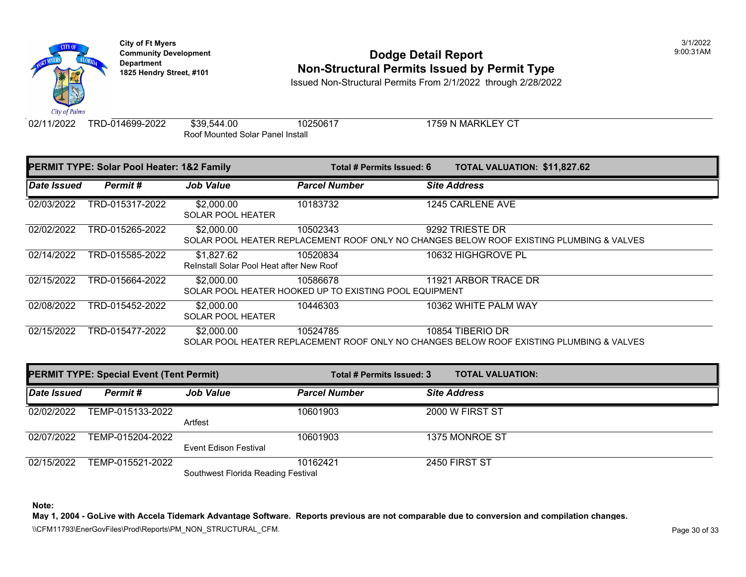

# **Community Development 1825 Hendright Community Development Department Department Am Dodge Detail Report Department Type 1825 Hendry Street, #101 <b>Non-Structural Permits Issued by Permit Type**

Issued Non-Structural Permits From 2/1/2022 through 2/28/2022

02/11/2022 TRD-014699-2022 \$39,544.00 10250617 1759 N MARKLEY CT

Roof Mounted Solar Panel Install

| PERMIT TYPE: Solar Pool Heater: 1&2 Family |                 |                                                        | Total # Permits Issued: 6                                                               | <b>TOTAL VALUATION: \$11,827</b> |  |
|--------------------------------------------|-----------------|--------------------------------------------------------|-----------------------------------------------------------------------------------------|----------------------------------|--|
| Date Issued                                | Permit#         | <b>Job Value</b>                                       | <b>Parcel Number</b>                                                                    | <b>Site Address</b>              |  |
| 02/03/2022                                 | TRD-015317-2022 | \$2,000.00<br><b>SOLAR POOL HEATER</b>                 | 10183732                                                                                | 1245 CARLENE AVE                 |  |
| 02/02/2022                                 | TRD-015265-2022 | \$2,000.00                                             | 10502343<br>SOLAR POOL HEATER REPLACEMENT ROOF ONLY NO CHANGES BELOW ROOF EXISTING PLUM | 9292 TRIESTE DR                  |  |
| 02/14/2022                                 | TRD-015585-2022 | \$1,827.62<br>Reinstall Solar Pool Heat after New Roof | 10520834                                                                                | 10632 HIGHGROVE PL               |  |
| 02/15/2022                                 | TRD-015664-2022 | \$2,000.00                                             | 10586678<br>SOLAR POOL HEATER HOOKED UP TO EXISTING POOL EQUIPMENT                      | 11921 ARBOR TRACE DR             |  |
| 02/08/2022                                 | TRD-015452-2022 | \$2,000.00<br><b>SOLAR POOL HEATER</b>                 | 10446303                                                                                | 10362 WHITE PALM WAY             |  |
| 02/15/2022                                 | TRD-015477-2022 | \$2,000.00                                             | 10524785<br>SOLAR POOL HEATER REPLACEMENT ROOF ONLY NO CHANGES BELOW ROOF EXISTING PLUM | 10854 TIBERIO DR                 |  |

| <b>PERMIT TYPE: Special Event (Tent Permit)</b> |                  | Total # Permits Issued: 3          | <b>TOTAL VALUATION:</b> |                     |
|-------------------------------------------------|------------------|------------------------------------|-------------------------|---------------------|
| Date Issued                                     | Permit #         | <b>Job Value</b>                   | <b>Parcel Number</b>    | <b>Site Address</b> |
| 02/02/2022                                      | TEMP-015133-2022 | Artfest                            | 10601903                | 2000 W FIRST ST     |
| 02/07/2022                                      | TEMP-015204-2022 | Event Edison Festival              | 10601903                | 1375 MONROE ST      |
| 02/15/2022                                      | TEMP-015521-2022 | Southwest Florida Reading Festival | 10162421                | 2450 FIRST ST       |

**Note:**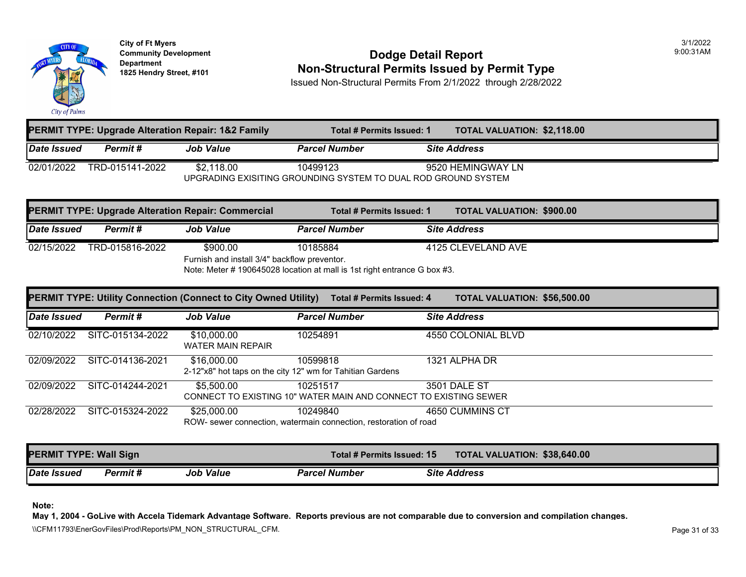

### **Community Development Community Development Community Development 1825 Non-Structural Permits Issued by Permit Type**

Issued Non-Structural Permits From 2/1/2022 through 2/28/2022

|             |                                                                | <b>PERMIT TYPE: Upgrade Alteration Repair: 1&amp;2 Family</b> | Total # Permits Issued: 1 | <b>TOTAL VALUATION: \$2,118.0</b> |  |  |  |  |
|-------------|----------------------------------------------------------------|---------------------------------------------------------------|---------------------------|-----------------------------------|--|--|--|--|
| Date Issued | Permit #                                                       | <b>Job Value</b>                                              | <b>Parcel Number</b>      | <b>Site Address</b>               |  |  |  |  |
| 02/01/2022  | TRD-015141-2022                                                | \$2.118.00                                                    | 10499123                  | 9520 HEMINGWAY LN                 |  |  |  |  |
|             | UPGRADING EXISITING GROUNDING SYSTEM TO DUAL ROD GROUND SYSTEM |                                                               |                           |                                   |  |  |  |  |

| <b>PERMIT TYPE: Upgrade Alteration Repair: Commercial</b> |                                              |                  | Total # Permits Issued: 1                                                |  | <b>TOTAL VALUATION: \$900.00</b> |  |  |  |
|-----------------------------------------------------------|----------------------------------------------|------------------|--------------------------------------------------------------------------|--|----------------------------------|--|--|--|
| Date Issued                                               | <b>Permit #</b>                              | <b>Job Value</b> | <b>Parcel Number</b>                                                     |  | <b>Site Address</b>              |  |  |  |
| 02/15/2022                                                | TRD-015816-2022                              | \$900.00         | 10185884                                                                 |  | 4125 CLEVELAND AVE               |  |  |  |
|                                                           | Furnish and install 3/4" backflow preventor. |                  |                                                                          |  |                                  |  |  |  |
|                                                           |                                              |                  | Note: Meter # 190645028 location at mall is 1st right entrance G box #3. |  |                                  |  |  |  |

|                    |                  | PERMIT TYPE: Utility Connection (Connect to City Owned Utility)          | Total # Permits Issued: 4                                                    | <b>TOTAL VALUATION: \$56,500</b> |
|--------------------|------------------|--------------------------------------------------------------------------|------------------------------------------------------------------------------|----------------------------------|
| <b>Date Issued</b> | Permit#          | <b>Job Value</b>                                                         | <b>Parcel Number</b>                                                         | <b>Site Address</b>              |
| 02/10/2022         | SITC-015134-2022 | \$10,000.00<br><b>WATER MAIN REPAIR</b>                                  | 10254891                                                                     | 4550 COLONIAL BLVD               |
| 02/09/2022         | SITC-014136-2021 | \$16,000.00<br>2-12"x8" hot taps on the city 12" wm for Tahitian Gardens | 10599818                                                                     | 1321 ALPHA DR                    |
| 02/09/2022         | SITC-014244-2021 | \$5,500.00                                                               | 10251517<br>CONNECT TO EXISTING 10" WATER MAIN AND CONNECT TO EXISTING SEWER | <b>3501 DALE ST</b>              |
| 02/28/2022         | SITC-015324-2022 | \$25,000.00                                                              | 10249840<br>ROW- sewer connection, watermain connection, restoration of road | 4650 CUMMINS CT                  |

| <b>PERMIT TYPE: Wall Sign</b> |          |                  |                      | Total # Permits Issued: 15 |                     |
|-------------------------------|----------|------------------|----------------------|----------------------------|---------------------|
| Date Issued                   | Permit # | <b>Job Value</b> | <b>Parcel Number</b> |                            | <b>Site Address</b> |

**Note:**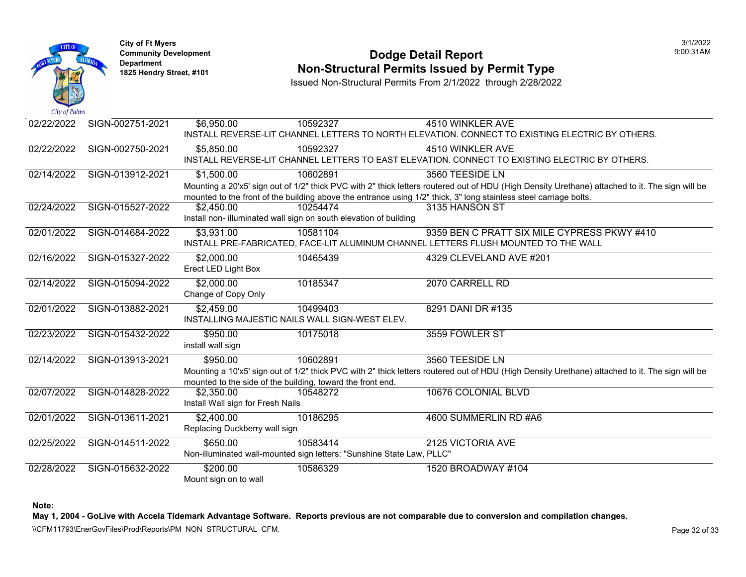

### **Community Development Community Development Community Development 1825 Non-Structural Permits Issued by Permit Type**

Issued Non-Structural Permits From 2/1/2022 through 2/28/2022

| 02/22/2022 | SIGN-002751-2021 | \$6,950.00                                                            | 10592327 | 4510 WINKLER AVE                                                                                             |
|------------|------------------|-----------------------------------------------------------------------|----------|--------------------------------------------------------------------------------------------------------------|
|            |                  |                                                                       |          | INSTALL REVERSE-LIT CHANNEL LETTERS TO NORTH ELEVATION. CONNECT TO EXISTING ELE                              |
| 02/22/2022 | SIGN-002750-2021 | \$5,850.00                                                            | 10592327 | 4510 WINKLER AVE                                                                                             |
|            |                  |                                                                       |          | INSTALL REVERSE-LIT CHANNEL LETTERS TO EAST ELEVATION. CONNECT TO EXISTING ELECT                             |
| 02/14/2022 | SIGN-013912-2021 | \$1,500.00                                                            | 10602891 | 3560 TEESIDE LN                                                                                              |
|            |                  |                                                                       |          | Mounting a 20'x5' sign out of 1/2" thick PVC with 2" thick letters routered out of HDU (High Density Uretha  |
|            |                  |                                                                       |          | mounted to the front of the building above the entrance using 1/2" thick, 3" long stainless steel carriage b |
| 02/24/2022 | SIGN-015527-2022 | \$2,450.00                                                            | 10254474 | 3135 HANSON ST                                                                                               |
|            |                  | Install non- illuminated wall sign on south elevation of building     |          |                                                                                                              |
| 02/01/2022 | SIGN-014684-2022 | \$3,931.00                                                            | 10581104 | 9359 BEN C PRATT SIX MILE CYP                                                                                |
|            |                  |                                                                       |          | INSTALL PRE-FABRICATED, FACE-LIT ALUMINUM CHANNEL LETTERS FLUSH MOUNTED TO THE                               |
| 02/16/2022 | SIGN-015327-2022 | \$2,000.00                                                            | 10465439 | 4329 CLEVELAND AVE #201                                                                                      |
|            |                  | Erect LED Light Box                                                   |          |                                                                                                              |
| 02/14/2022 | SIGN-015094-2022 | \$2,000.00                                                            | 10185347 | 2070 CARRELL RD                                                                                              |
|            |                  | Change of Copy Only                                                   |          |                                                                                                              |
| 02/01/2022 | SIGN-013882-2021 | \$2,459.00                                                            | 10499403 | 8291 DANI DR #135                                                                                            |
|            |                  | INSTALLING MAJESTIC NAILS WALL SIGN-WEST ELEV.                        |          |                                                                                                              |
| 02/23/2022 | SIGN-015432-2022 | \$950.00                                                              | 10175018 | 3559 FOWLER ST                                                                                               |
|            |                  | install wall sign                                                     |          |                                                                                                              |
| 02/14/2022 | SIGN-013913-2021 | \$950.00                                                              | 10602891 | 3560 TEESIDE LN                                                                                              |
|            |                  |                                                                       |          | Mounting a 10'x5' sign out of 1/2" thick PVC with 2" thick letters routered out of HDU (High Density Ureth   |
|            |                  | mounted to the side of the building, toward the front end.            |          |                                                                                                              |
| 02/07/2022 | SIGN-014828-2022 | \$2,350.00                                                            | 10548272 | 10676 COLONIAL BLVD                                                                                          |
|            |                  | Install Wall sign for Fresh Nails                                     |          |                                                                                                              |
| 02/01/2022 | SIGN-013611-2021 | \$2,400.00                                                            | 10186295 | 4600 SUMMERLIN RD #A6                                                                                        |
|            |                  | Replacing Duckberry wall sign                                         |          |                                                                                                              |
| 02/25/2022 | SIGN-014511-2022 | \$650.00                                                              | 10583414 | 2125 VICTORIA AVE                                                                                            |
|            |                  | Non-illuminated wall-mounted sign letters: "Sunshine State Law, PLLC" |          |                                                                                                              |
| 02/28/2022 | SIGN-015632-2022 | \$200.00                                                              | 10586329 | 1520 BROADWAY #104                                                                                           |
|            |                  | Mount sign on to wall                                                 |          |                                                                                                              |
|            |                  |                                                                       |          |                                                                                                              |

**Note:**